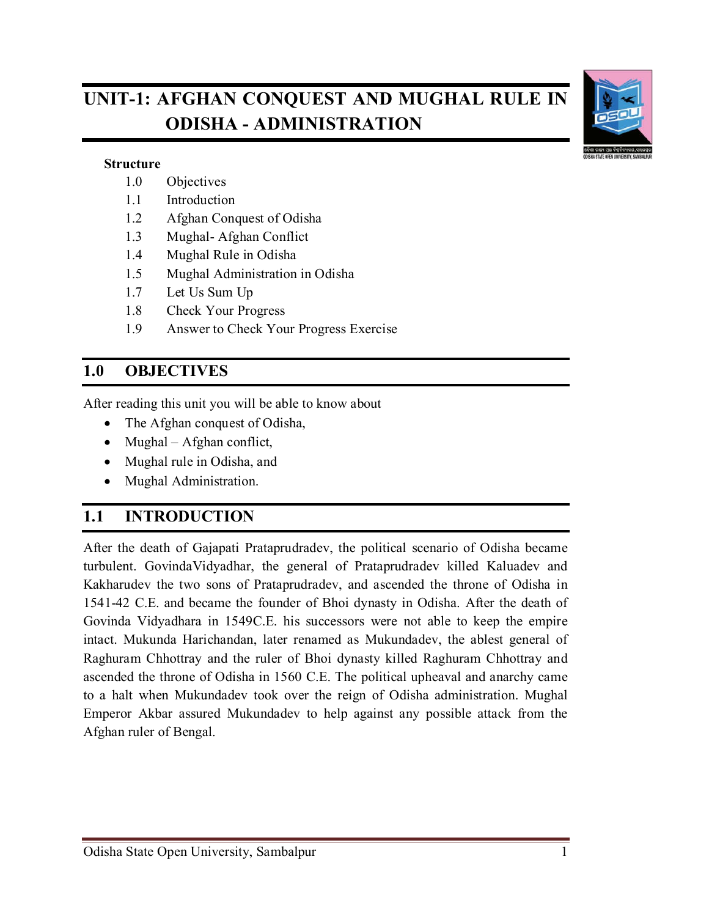# **UNIT-1: AFGHAN CONQUEST AND MUGHAL RULE IN ODISHA - ADMINISTRATION**



#### **Structure**

- 1.0 Objectives
- 1.1 Introduction
- 1.2 Afghan Conquest of Odisha
- 1.3 Mughal- Afghan Conflict
- 1.4 Mughal Rule in Odisha
- 1.5 Mughal Administration in Odisha
- 1.7 Let Us Sum Up
- 1.8 Check Your Progress
- 1.9 Answer to Check Your Progress Exercise

### **1.0 OBJECTIVES**

After reading this unit you will be able to know about

- The Afghan conquest of Odisha,
- Mughal Afghan conflict,
- Mughal rule in Odisha, and
- Mughal Administration.

## **1.1 INTRODUCTION**

After the death of Gajapati Prataprudradev, the political scenario of Odisha became turbulent. GovindaVidyadhar, the general of Prataprudradev killed Kaluadev and Kakharudev the two sons of Prataprudradev, and ascended the throne of Odisha in 1541-42 C.E. and became the founder of Bhoi dynasty in Odisha. After the death of Govinda Vidyadhara in 1549C.E. his successors were not able to keep the empire intact. Mukunda Harichandan, later renamed as Mukundadev, the ablest general of Raghuram Chhottray and the ruler of Bhoi dynasty killed Raghuram Chhottray and ascended the throne of Odisha in 1560 C.E. The political upheaval and anarchy came to a halt when Mukundadev took over the reign of Odisha administration. Mughal Emperor Akbar assured Mukundadev to help against any possible attack from the Afghan ruler of Bengal.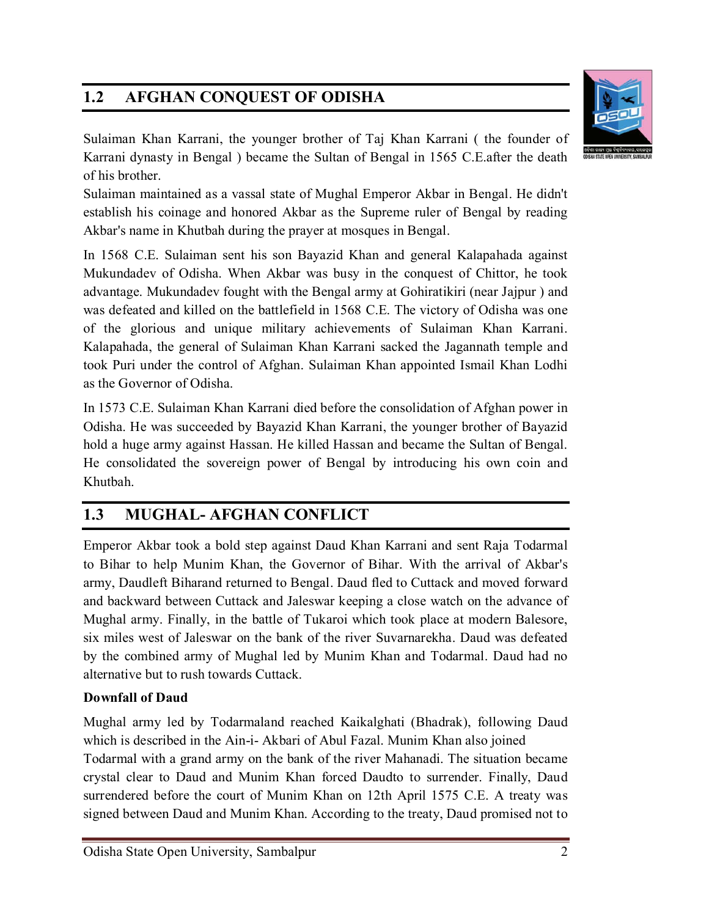# **1.2 AFGHAN CONQUEST OF ODISHA**



Sulaiman Khan Karrani, the younger brother of Taj Khan Karrani ( the founder of Karrani dynasty in Bengal ) became the Sultan of Bengal in 1565 C.E.after the death of his brother.

Sulaiman maintained as a vassal state of Mughal Emperor Akbar in Bengal. He didn't establish his coinage and honored Akbar as the Supreme ruler of Bengal by reading Akbar's name in Khutbah during the prayer at mosques in Bengal.

In 1568 C.E. Sulaiman sent his son Bayazid Khan and general Kalapahada against Mukundadev of Odisha. When Akbar was busy in the conquest of Chittor, he took advantage. Mukundadev fought with the Bengal army at Gohiratikiri (near Jajpur ) and was defeated and killed on the battlefield in 1568 C.E. The victory of Odisha was one of the glorious and unique military achievements of Sulaiman Khan Karrani. Kalapahada, the general of Sulaiman Khan Karrani sacked the Jagannath temple and took Puri under the control of Afghan. Sulaiman Khan appointed Ismail Khan Lodhi as the Governor of Odisha.

In 1573 C.E. Sulaiman Khan Karrani died before the consolidation of Afghan power in Odisha. He was succeeded by Bayazid Khan Karrani, the younger brother of Bayazid hold a huge army against Hassan. He killed Hassan and became the Sultan of Bengal. He consolidated the sovereign power of Bengal by introducing his own coin and Khutbah.

# **1.3 MUGHAL- AFGHAN CONFLICT**

Emperor Akbar took a bold step against Daud Khan Karrani and sent Raja Todarmal to Bihar to help Munim Khan, the Governor of Bihar. With the arrival of Akbar's army, Daudleft Biharand returned to Bengal. Daud fled to Cuttack and moved forward and backward between Cuttack and Jaleswar keeping a close watch on the advance of Mughal army. Finally, in the battle of Tukaroi which took place at modern Balesore, six miles west of Jaleswar on the bank of the river Suvarnarekha. Daud was defeated by the combined army of Mughal led by Munim Khan and Todarmal. Daud had no alternative but to rush towards Cuttack.

### **Downfall of Daud**

Mughal army led by Todarmaland reached Kaikalghati (Bhadrak), following Daud which is described in the Ain-i- Akbari of Abul Fazal. Munim Khan also joined Todarmal with a grand army on the bank of the river Mahanadi. The situation became crystal clear to Daud and Munim Khan forced Daudto to surrender. Finally, Daud surrendered before the court of Munim Khan on 12th April 1575 C.E. A treaty was signed between Daud and Munim Khan. According to the treaty, Daud promised not to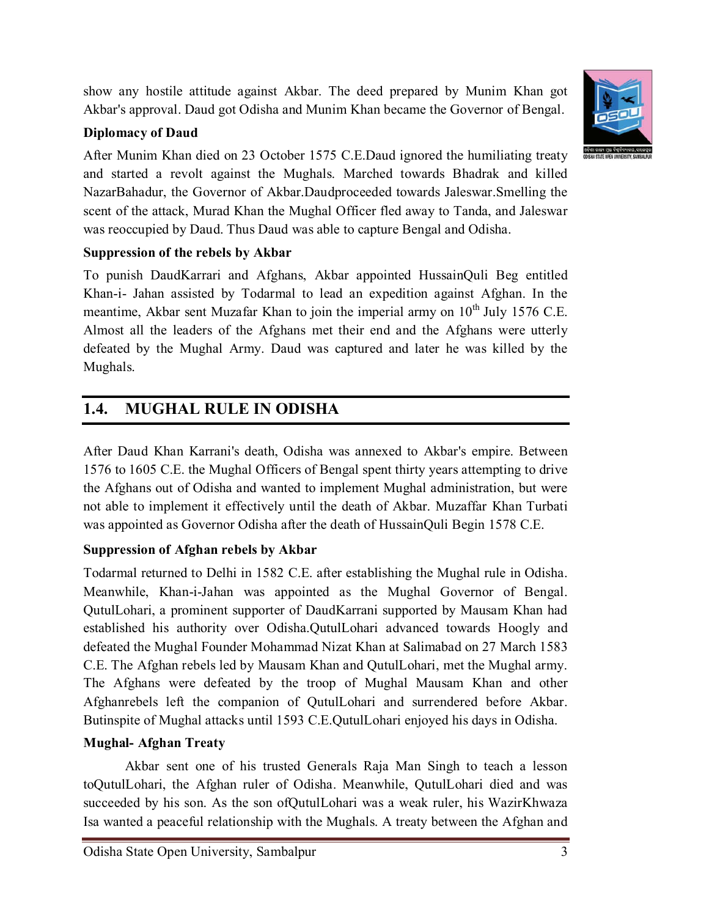show any hostile attitude against Akbar. The deed prepared by Munim Khan got Akbar's approval. Daud got Odisha and Munim Khan became the Governor of Bengal.

### **Diplomacy of Daud**

After Munim Khan died on 23 October 1575 C.E.Daud ignored the humiliating treaty and started a revolt against the Mughals. Marched towards Bhadrak and killed NazarBahadur, the Governor of Akbar.Daudproceeded towards Jaleswar.Smelling the scent of the attack, Murad Khan the Mughal Officer fled away to Tanda, and Jaleswar was reoccupied by Daud. Thus Daud was able to capture Bengal and Odisha.

### **Suppression of the rebels by Akbar**

To punish DaudKarrari and Afghans, Akbar appointed HussainQuli Beg entitled Khan-i- Jahan assisted by Todarmal to lead an expedition against Afghan. In the meantime, Akbar sent Muzafar Khan to join the imperial army on  $10^{th}$  July 1576 C.E. Almost all the leaders of the Afghans met their end and the Afghans were utterly defeated by the Mughal Army. Daud was captured and later he was killed by the Mughals.

# **1.4. MUGHAL RULE IN ODISHA**

After Daud Khan Karrani's death, Odisha was annexed to Akbar's empire. Between 1576 to 1605 C.E. the Mughal Officers of Bengal spent thirty years attempting to drive the Afghans out of Odisha and wanted to implement Mughal administration, but were not able to implement it effectively until the death of Akbar. Muzaffar Khan Turbati was appointed as Governor Odisha after the death of HussainQuli Begin 1578 C.E.

## **Suppression of Afghan rebels by Akbar**

Todarmal returned to Delhi in 1582 C.E. after establishing the Mughal rule in Odisha. Meanwhile, Khan-i-Jahan was appointed as the Mughal Governor of Bengal. QutulLohari, a prominent supporter of DaudKarrani supported by Mausam Khan had established his authority over Odisha.QutulLohari advanced towards Hoogly and defeated the Mughal Founder Mohammad Nizat Khan at Salimabad on 27 March 1583 C.E. The Afghan rebels led by Mausam Khan and QutulLohari, met the Mughal army. The Afghans were defeated by the troop of Mughal Mausam Khan and other Afghanrebels left the companion of QutulLohari and surrendered before Akbar. Butinspite of Mughal attacks until 1593 C.E.QutulLohari enjoyed his days in Odisha.

## **Mughal- Afghan Treaty**

Akbar sent one of his trusted Generals Raja Man Singh to teach a lesson toQutulLohari, the Afghan ruler of Odisha. Meanwhile, QutulLohari died and was succeeded by his son. As the son ofQutulLohari was a weak ruler, his WazirKhwaza Isa wanted a peaceful relationship with the Mughals. A treaty between the Afghan and

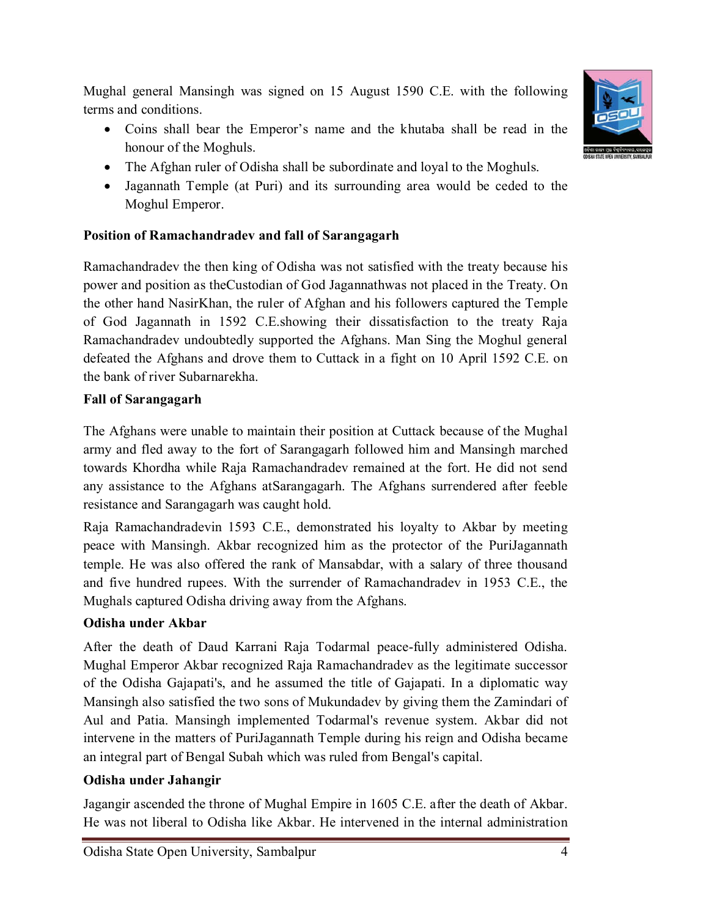Mughal general Mansingh was signed on 15 August 1590 C.E. with the following terms and conditions.

- Coins shall bear the Emperor's name and the khutaba shall be read in the honour of the Moghuls.
- The Afghan ruler of Odisha shall be subordinate and loyal to the Moghuls.
- Jagannath Temple (at Puri) and its surrounding area would be ceded to the Moghul Emperor.

### **Position of Ramachandradev and fall of Sarangagarh**

Ramachandradev the then king of Odisha was not satisfied with the treaty because his power and position as theCustodian of God Jagannathwas not placed in the Treaty. On the other hand NasirKhan, the ruler of Afghan and his followers captured the Temple of God Jagannath in 1592 C.E.showing their dissatisfaction to the treaty Raja Ramachandradev undoubtedly supported the Afghans. Man Sing the Moghul general defeated the Afghans and drove them to Cuttack in a fight on 10 April 1592 C.E. on the bank of river Subarnarekha.

### **Fall of Sarangagarh**

The Afghans were unable to maintain their position at Cuttack because of the Mughal army and fled away to the fort of Sarangagarh followed him and Mansingh marched towards Khordha while Raja Ramachandradev remained at the fort. He did not send any assistance to the Afghans atSarangagarh. The Afghans surrendered after feeble resistance and Sarangagarh was caught hold.

Raja Ramachandradevin 1593 C.E., demonstrated his loyalty to Akbar by meeting peace with Mansingh. Akbar recognized him as the protector of the PuriJagannath temple. He was also offered the rank of Mansabdar, with a salary of three thousand and five hundred rupees. With the surrender of Ramachandradev in 1953 C.E., the Mughals captured Odisha driving away from the Afghans.

### **Odisha under Akbar**

After the death of Daud Karrani Raja Todarmal peace-fully administered Odisha. Mughal Emperor Akbar recognized Raja Ramachandradev as the legitimate successor of the Odisha Gajapati's, and he assumed the title of Gajapati. In a diplomatic way Mansingh also satisfied the two sons of Mukundadev by giving them the Zamindari of Aul and Patia. Mansingh implemented Todarmal's revenue system. Akbar did not intervene in the matters of PuriJagannath Temple during his reign and Odisha became an integral part of Bengal Subah which was ruled from Bengal's capital.

### **Odisha under Jahangir**

Jagangir ascended the throne of Mughal Empire in 1605 C.E. after the death of Akbar. He was not liberal to Odisha like Akbar. He intervened in the internal administration



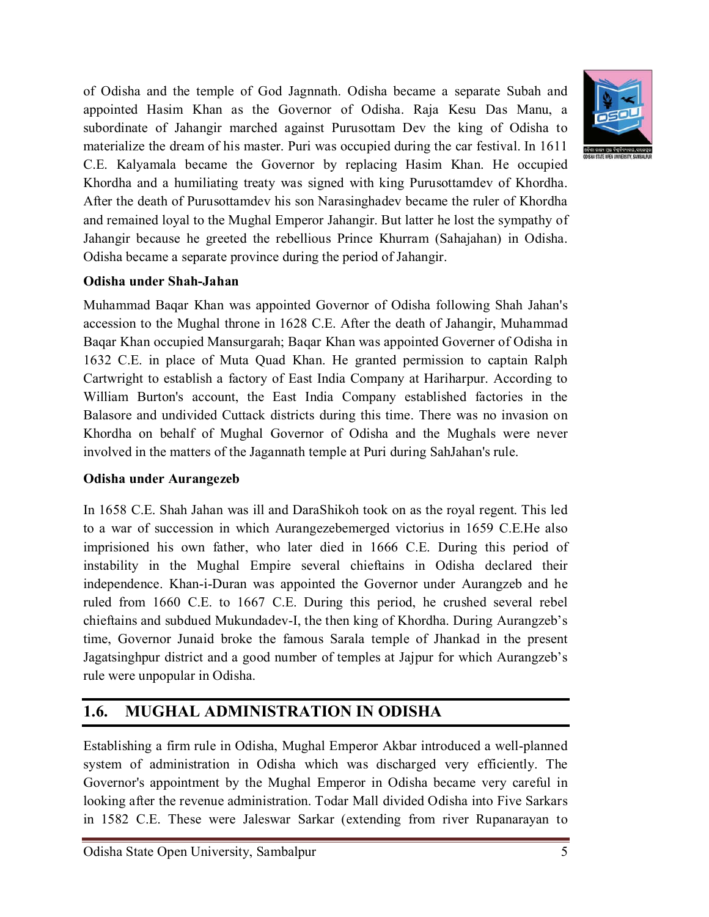of Odisha and the temple of God Jagnnath. Odisha became a separate Subah and appointed Hasim Khan as the Governor of Odisha. Raja Kesu Das Manu, a subordinate of Jahangir marched against Purusottam Dev the king of Odisha to materialize the dream of his master. Puri was occupied during the car festival. In 1611 C.E. Kalyamala became the Governor by replacing Hasim Khan. He occupied Khordha and a humiliating treaty was signed with king Purusottamdev of Khordha. After the death of Purusottamdev his son Narasinghadev became the ruler of Khordha and remained loyal to the Mughal Emperor Jahangir. But latter he lost the sympathy of Jahangir because he greeted the rebellious Prince Khurram (Sahajahan) in Odisha. Odisha became a separate province during the period of Jahangir.

#### **Odisha under Shah-Jahan**

Muhammad Baqar Khan was appointed Governor of Odisha following Shah Jahan's accession to the Mughal throne in 1628 C.E. After the death of Jahangir, Muhammad Baqar Khan occupied Mansurgarah; Baqar Khan was appointed Governer of Odisha in 1632 C.E. in place of Muta Quad Khan. He granted permission to captain Ralph Cartwright to establish a factory of East India Company at Hariharpur. According to William Burton's account, the East India Company established factories in the Balasore and undivided Cuttack districts during this time. There was no invasion on Khordha on behalf of Mughal Governor of Odisha and the Mughals were never involved in the matters of the Jagannath temple at Puri during SahJahan's rule.

#### **Odisha under Aurangezeb**

In 1658 C.E. Shah Jahan was ill and DaraShikoh took on as the royal regent. This led to a war of succession in which Aurangezebemerged victorius in 1659 C.E.He also imprisioned his own father, who later died in 1666 C.E. During this period of instability in the Mughal Empire several chieftains in Odisha declared their independence. Khan-i-Duran was appointed the Governor under Aurangzeb and he ruled from 1660 C.E. to 1667 C.E. During this period, he crushed several rebel chieftains and subdued Mukundadev-I, the then king of Khordha. During Aurangzeb's time, Governor Junaid broke the famous Sarala temple of Jhankad in the present Jagatsinghpur district and a good number of temples at Jajpur for which Aurangzeb's rule were unpopular in Odisha.

## **1.6. MUGHAL ADMINISTRATION IN ODISHA**

Establishing a firm rule in Odisha, Mughal Emperor Akbar introduced a well-planned system of administration in Odisha which was discharged very efficiently. The Governor's appointment by the Mughal Emperor in Odisha became very careful in looking after the revenue administration. Todar Mall divided Odisha into Five Sarkars in 1582 C.E. These were Jaleswar Sarkar (extending from river Rupanarayan to

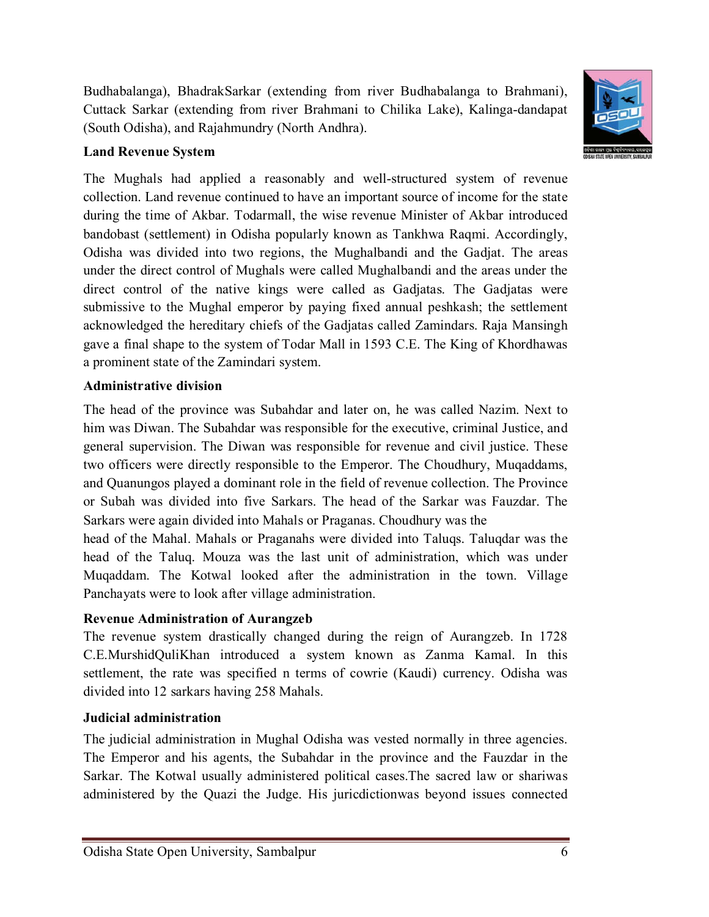Budhabalanga), BhadrakSarkar (extending from river Budhabalanga to Brahmani), Cuttack Sarkar (extending from river Brahmani to Chilika Lake), Kalinga-dandapat (South Odisha), and Rajahmundry (North Andhra).



### **Land Revenue System**

The Mughals had applied a reasonably and well-structured system of revenue collection. Land revenue continued to have an important source of income for the state during the time of Akbar. Todarmall, the wise revenue Minister of Akbar introduced bandobast (settlement) in Odisha popularly known as Tankhwa Raqmi. Accordingly, Odisha was divided into two regions, the Mughalbandi and the Gadjat. The areas under the direct control of Mughals were called Mughalbandi and the areas under the direct control of the native kings were called as Gadjatas. The Gadjatas were submissive to the Mughal emperor by paying fixed annual peshkash; the settlement acknowledged the hereditary chiefs of the Gadjatas called Zamindars. Raja Mansingh gave a final shape to the system of Todar Mall in 1593 C.E. The King of Khordhawas a prominent state of the Zamindari system.

### **Administrative division**

The head of the province was Subahdar and later on, he was called Nazim. Next to him was Diwan. The Subahdar was responsible for the executive, criminal Justice, and general supervision. The Diwan was responsible for revenue and civil justice. These two officers were directly responsible to the Emperor. The Choudhury, Muqaddams, and Quanungos played a dominant role in the field of revenue collection. The Province or Subah was divided into five Sarkars. The head of the Sarkar was Fauzdar. The Sarkars were again divided into Mahals or Praganas. Choudhury was the

head of the Mahal. Mahals or Praganahs were divided into Taluqs. Taluqdar was the head of the Taluq. Mouza was the last unit of administration, which was under Muqaddam. The Kotwal looked after the administration in the town. Village Panchayats were to look after village administration.

### **Revenue Administration of Aurangzeb**

The revenue system drastically changed during the reign of Aurangzeb. In 1728 C.E.MurshidQuliKhan introduced a system known as Zanma Kamal. In this settlement, the rate was specified n terms of cowrie (Kaudi) currency. Odisha was divided into 12 sarkars having 258 Mahals.

#### **Judicial administration**

The judicial administration in Mughal Odisha was vested normally in three agencies. The Emperor and his agents, the Subahdar in the province and the Fauzdar in the Sarkar. The Kotwal usually administered political cases.The sacred law or shariwas administered by the Quazi the Judge. His juricdictionwas beyond issues connected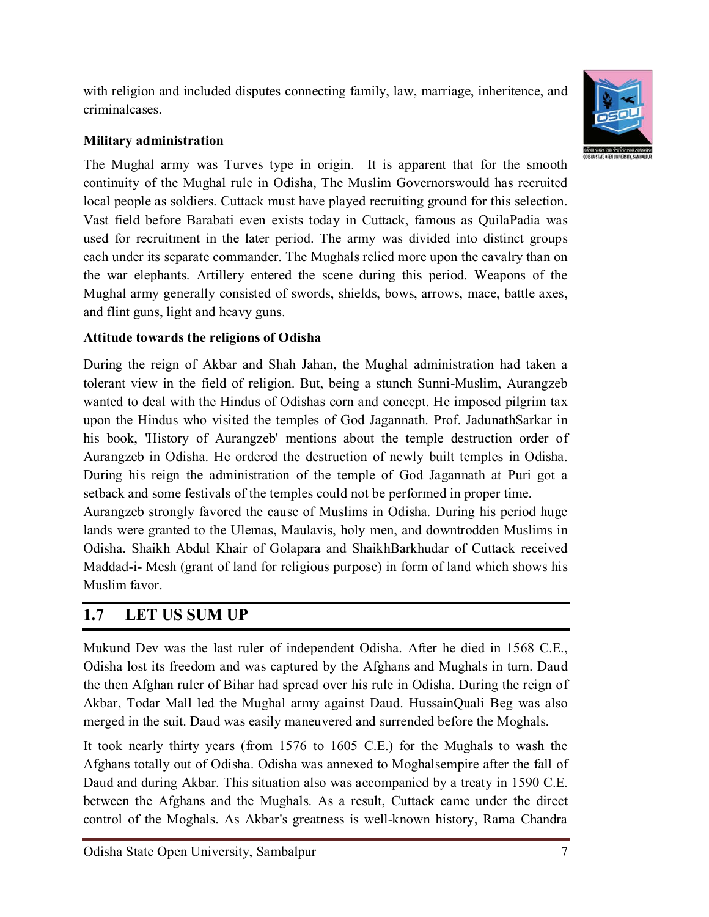with religion and included disputes connecting family, law, marriage, inheritence, and criminalcases.



#### **Military administration**

The Mughal army was Turves type in origin. It is apparent that for the smooth continuity of the Mughal rule in Odisha, The Muslim Governorswould has recruited local people as soldiers. Cuttack must have played recruiting ground for this selection. Vast field before Barabati even exists today in Cuttack, famous as QuilaPadia was used for recruitment in the later period. The army was divided into distinct groups each under its separate commander. The Mughals relied more upon the cavalry than on the war elephants. Artillery entered the scene during this period. Weapons of the Mughal army generally consisted of swords, shields, bows, arrows, mace, battle axes, and flint guns, light and heavy guns.

### **Attitude towards the religions of Odisha**

During the reign of Akbar and Shah Jahan, the Mughal administration had taken a tolerant view in the field of religion. But, being a stunch Sunni-Muslim, Aurangzeb wanted to deal with the Hindus of Odishas corn and concept. He imposed pilgrim tax upon the Hindus who visited the temples of God Jagannath. Prof. JadunathSarkar in his book, 'History of Aurangzeb' mentions about the temple destruction order of Aurangzeb in Odisha. He ordered the destruction of newly built temples in Odisha. During his reign the administration of the temple of God Jagannath at Puri got a setback and some festivals of the temples could not be performed in proper time. Aurangzeb strongly favored the cause of Muslims in Odisha. During his period huge

lands were granted to the Ulemas, Maulavis, holy men, and downtrodden Muslims in Odisha. Shaikh Abdul Khair of Golapara and ShaikhBarkhudar of Cuttack received Maddad-i- Mesh (grant of land for religious purpose) in form of land which shows his Muslim favor.

### **1.7 LET US SUM UP**

Mukund Dev was the last ruler of independent Odisha. After he died in 1568 C.E., Odisha lost its freedom and was captured by the Afghans and Mughals in turn. Daud the then Afghan ruler of Bihar had spread over his rule in Odisha. During the reign of Akbar, Todar Mall led the Mughal army against Daud. HussainQuali Beg was also merged in the suit. Daud was easily maneuvered and surrended before the Moghals.

It took nearly thirty years (from 1576 to 1605 C.E.) for the Mughals to wash the Afghans totally out of Odisha. Odisha was annexed to Moghalsempire after the fall of Daud and during Akbar. This situation also was accompanied by a treaty in 1590 C.E. between the Afghans and the Mughals. As a result, Cuttack came under the direct control of the Moghals. As Akbar's greatness is well-known history, Rama Chandra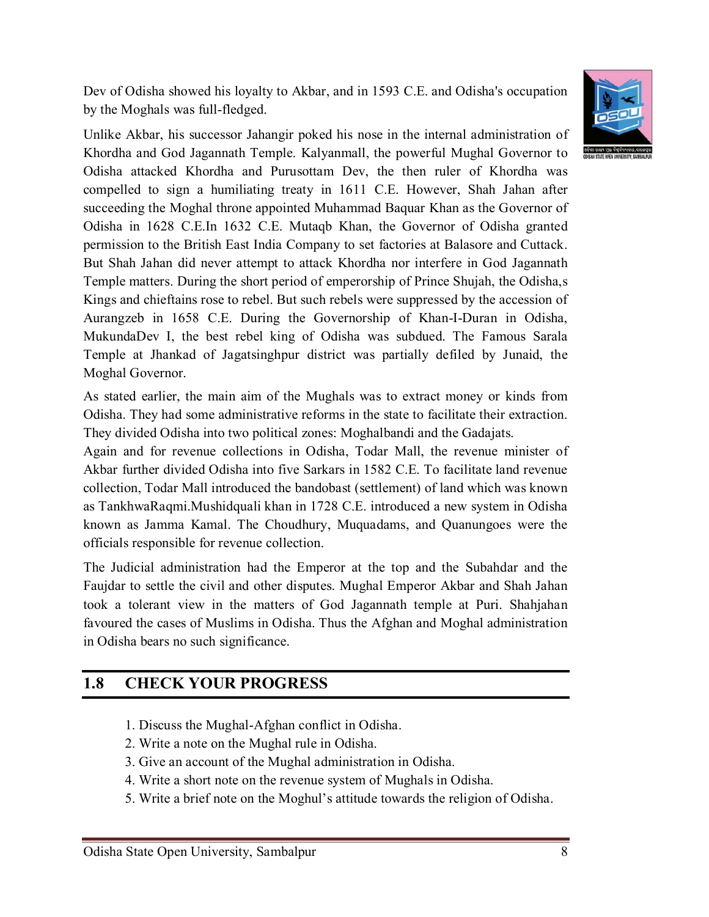Dev of Odisha showed his loyalty to Akbar, and in 1593 C.E. and Odisha's occupation by the Moghals was full-fledged.



As stated earlier, the main aim of the Mughals was to extract money or kinds from Odisha. They had some administrative reforms in the state to facilitate their extraction. They divided Odisha into two political zones: Moghalbandi and the Gadajats.

Again and for revenue collections in Odisha, Todar Mall, the revenue minister of Akbar further divided Odisha into five Sarkars in 1582 C.E. To facilitate land revenue collection, Todar Mall introduced the bandobast (settlement) of land which was known as TankhwaRaqmi.Mushidquali khan in 1728 C.E. introduced a new system in Odisha known as Jamma Kamal. The Choudhury, Muquadams, and Quanungoes were the officials responsible for revenue collection.

The Judicial administration had the Emperor at the top and the Subahdar and the Faujdar to settle the civil and other disputes. Mughal Emperor Akbar and Shah Jahan took a tolerant view in the matters of God Jagannath temple at Puri. Shahjahan favoured the cases of Muslims in Odisha. Thus the Afghan and Moghal administration in Odisha bears no such significance.

### **1.8 CHECK YOUR PROGRESS**

- 1. Discuss the Mughal-Afghan conflict in Odisha.
- 2. Write a note on the Mughal rule in Odisha.
- 3. Give an account of the Mughal administration in Odisha.
- 4. Write a short note on the revenue system of Mughals in Odisha.
- 5. Write a brief note on the Moghul's attitude towards the religion of Odisha.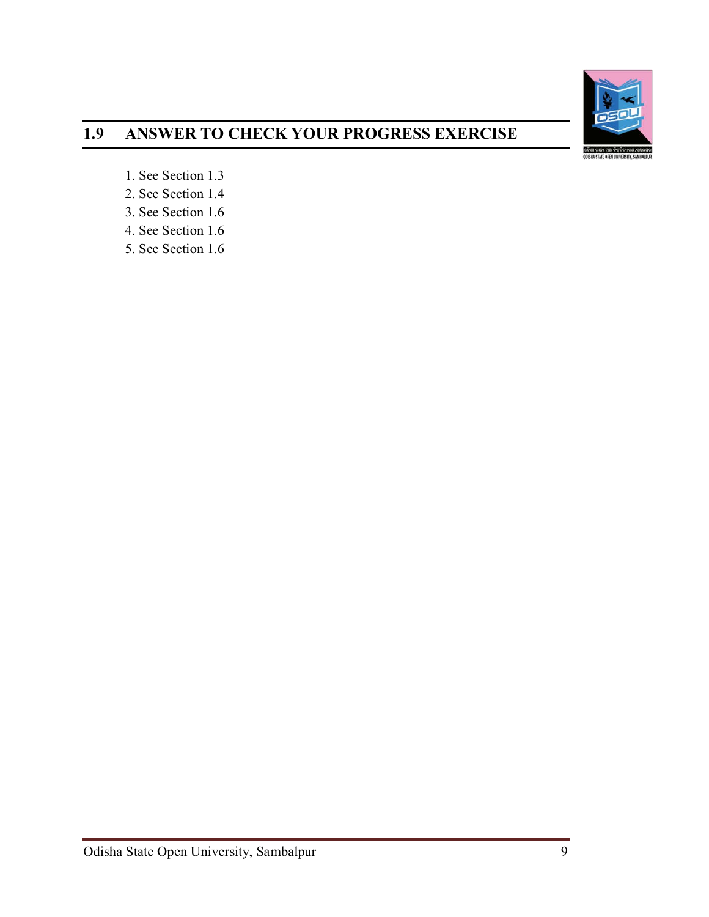

# **1.9 ANSWER TO CHECK YOUR PROGRESS EXERCISE**

- 1. See Section 1.3
- 2. See Section 1.4
- 3. See Section 1.6
- 4. See Section 1.6
- 5. See Section 1.6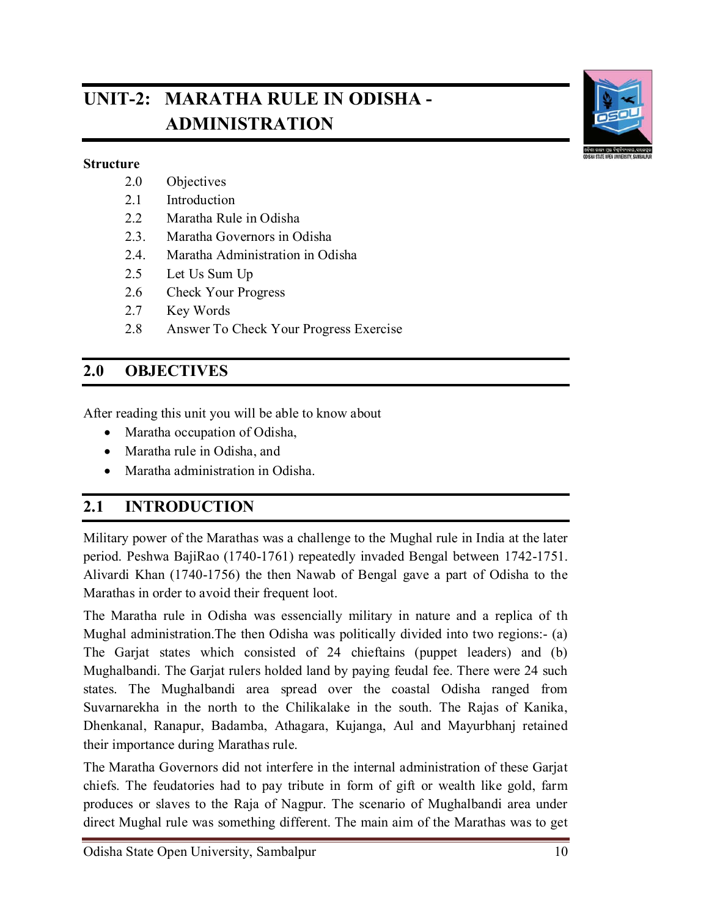# **UNIT-2: MARATHA RULE IN ODISHA - ADMINISTRATION**



#### **Structure**

- 2.0 Objectives
- 2.1 Introduction
- 2.2 Maratha Rule in Odisha
- 2.3. Maratha Governors in Odisha
- 2.4. Maratha Administration in Odisha
- 2.5 Let Us Sum Up
- 2.6 Check Your Progress
- 2.7 Key Words
- 2.8 Answer To Check Your Progress Exercise

### **2.0 OBJECTIVES**

After reading this unit you will be able to know about

- Maratha occupation of Odisha,
- Maratha rule in Odisha, and
- Maratha administration in Odisha.

### **2.1 INTRODUCTION**

Military power of the Marathas was a challenge to the Mughal rule in India at the later period. Peshwa BajiRao (1740-1761) repeatedly invaded Bengal between 1742-1751. Alivardi Khan (1740-1756) the then Nawab of Bengal gave a part of Odisha to the Marathas in order to avoid their frequent loot.

The Maratha rule in Odisha was essencially military in nature and a replica of th Mughal administration.The then Odisha was politically divided into two regions:- (a) The Garjat states which consisted of 24 chieftains (puppet leaders) and (b) Mughalbandi. The Garjat rulers holded land by paying feudal fee. There were 24 such states. The Mughalbandi area spread over the coastal Odisha ranged from Suvarnarekha in the north to the Chilikalake in the south. The Rajas of Kanika, Dhenkanal, Ranapur, Badamba, Athagara, Kujanga, Aul and Mayurbhanj retained their importance during Marathas rule.

The Maratha Governors did not interfere in the internal administration of these Garjat chiefs. The feudatories had to pay tribute in form of gift or wealth like gold, farm produces or slaves to the Raja of Nagpur. The scenario of Mughalbandi area under direct Mughal rule was something different. The main aim of the Marathas was to get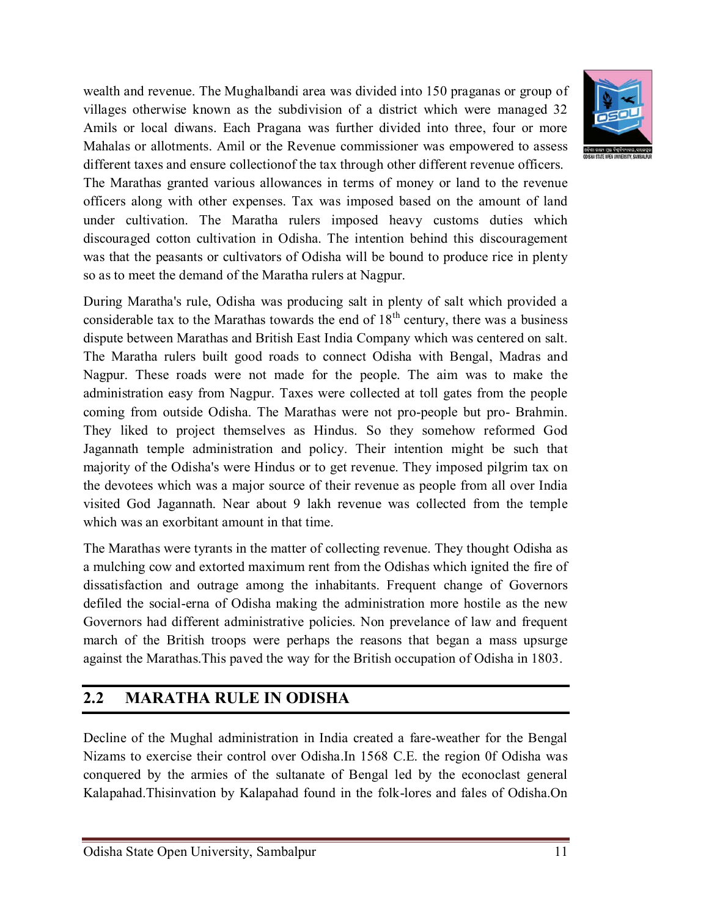wealth and revenue. The Mughalbandi area was divided into 150 praganas or group of villages otherwise known as the subdivision of a district which were managed 32 Amils or local diwans. Each Pragana was further divided into three, four or more Mahalas or allotments. Amil or the Revenue commissioner was empowered to assess different taxes and ensure collectionof the tax through other different revenue officers. The Marathas granted various allowances in terms of money or land to the revenue officers along with other expenses. Tax was imposed based on the amount of land under cultivation. The Maratha rulers imposed heavy customs duties which discouraged cotton cultivation in Odisha. The intention behind this discouragement was that the peasants or cultivators of Odisha will be bound to produce rice in plenty so as to meet the demand of the Maratha rulers at Nagpur.



During Maratha's rule, Odisha was producing salt in plenty of salt which provided a considerable tax to the Marathas towards the end of  $18<sup>th</sup>$  century, there was a business dispute between Marathas and British East India Company which was centered on salt. The Maratha rulers built good roads to connect Odisha with Bengal, Madras and Nagpur. These roads were not made for the people. The aim was to make the administration easy from Nagpur. Taxes were collected at toll gates from the people coming from outside Odisha. The Marathas were not pro-people but pro- Brahmin. They liked to project themselves as Hindus. So they somehow reformed God Jagannath temple administration and policy. Their intention might be such that majority of the Odisha's were Hindus or to get revenue. They imposed pilgrim tax on the devotees which was a major source of their revenue as people from all over India visited God Jagannath. Near about 9 lakh revenue was collected from the temple which was an exorbitant amount in that time.

The Marathas were tyrants in the matter of collecting revenue. They thought Odisha as a mulching cow and extorted maximum rent from the Odishas which ignited the fire of dissatisfaction and outrage among the inhabitants. Frequent change of Governors defiled the social-erna of Odisha making the administration more hostile as the new Governors had different administrative policies. Non prevelance of law and frequent march of the British troops were perhaps the reasons that began a mass upsurge against the Marathas.This paved the way for the British occupation of Odisha in 1803.

## **2.2 MARATHA RULE IN ODISHA**

Decline of the Mughal administration in India created a fare-weather for the Bengal Nizams to exercise their control over Odisha.In 1568 C.E. the region 0f Odisha was conquered by the armies of the sultanate of Bengal led by the econoclast general Kalapahad.Thisinvation by Kalapahad found in the folk-lores and fales of Odisha.On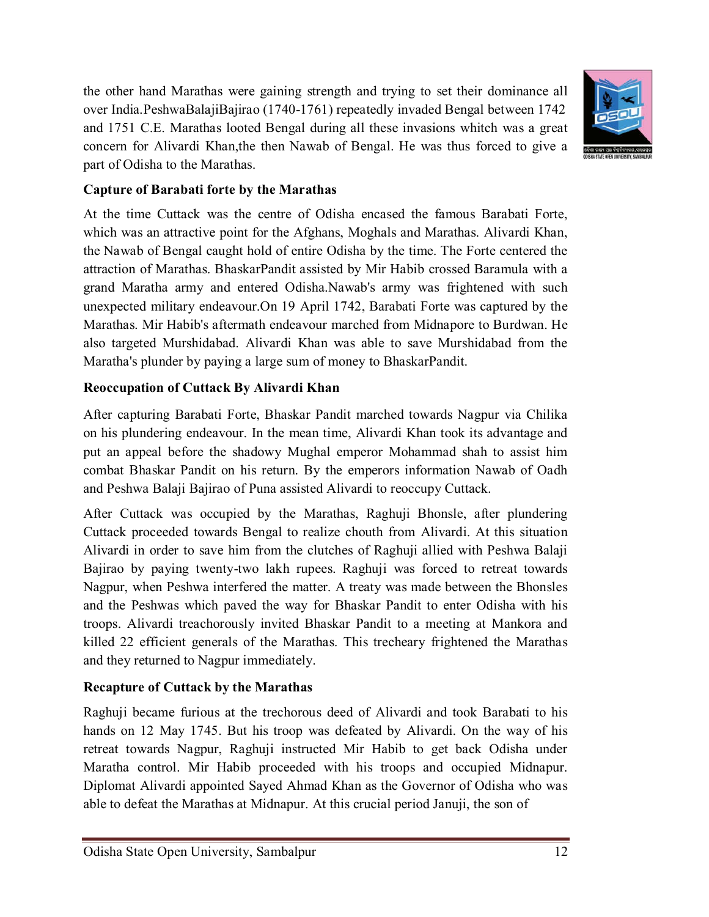the other hand Marathas were gaining strength and trying to set their dominance all over India.PeshwaBalajiBajirao (1740-1761) repeatedly invaded Bengal between 1742 and 1751 C.E. Marathas looted Bengal during all these invasions whitch was a great concern for Alivardi Khan,the then Nawab of Bengal. He was thus forced to give a part of Odisha to the Marathas.



### **Capture of Barabati forte by the Marathas**

At the time Cuttack was the centre of Odisha encased the famous Barabati Forte, which was an attractive point for the Afghans, Moghals and Marathas. Alivardi Khan, the Nawab of Bengal caught hold of entire Odisha by the time. The Forte centered the attraction of Marathas. BhaskarPandit assisted by Mir Habib crossed Baramula with a grand Maratha army and entered Odisha.Nawab's army was frightened with such unexpected military endeavour.On 19 April 1742, Barabati Forte was captured by the Marathas. Mir Habib's aftermath endeavour marched from Midnapore to Burdwan. He also targeted Murshidabad. Alivardi Khan was able to save Murshidabad from the Maratha's plunder by paying a large sum of money to BhaskarPandit.

### **Reoccupation of Cuttack By Alivardi Khan**

After capturing Barabati Forte, Bhaskar Pandit marched towards Nagpur via Chilika on his plundering endeavour. In the mean time, Alivardi Khan took its advantage and put an appeal before the shadowy Mughal emperor Mohammad shah to assist him combat Bhaskar Pandit on his return. By the emperors information Nawab of Oadh and Peshwa Balaji Bajirao of Puna assisted Alivardi to reoccupy Cuttack.

After Cuttack was occupied by the Marathas, Raghuji Bhonsle, after plundering Cuttack proceeded towards Bengal to realize chouth from Alivardi. At this situation Alivardi in order to save him from the clutches of Raghuji allied with Peshwa Balaji Bajirao by paying twenty-two lakh rupees. Raghuji was forced to retreat towards Nagpur, when Peshwa interfered the matter. A treaty was made between the Bhonsles and the Peshwas which paved the way for Bhaskar Pandit to enter Odisha with his troops. Alivardi treachorously invited Bhaskar Pandit to a meeting at Mankora and killed 22 efficient generals of the Marathas. This trecheary frightened the Marathas and they returned to Nagpur immediately.

### **Recapture of Cuttack by the Marathas**

Raghuji became furious at the trechorous deed of Alivardi and took Barabati to his hands on 12 May 1745. But his troop was defeated by Alivardi. On the way of his retreat towards Nagpur, Raghuji instructed Mir Habib to get back Odisha under Maratha control. Mir Habib proceeded with his troops and occupied Midnapur. Diplomat Alivardi appointed Sayed Ahmad Khan as the Governor of Odisha who was able to defeat the Marathas at Midnapur. At this crucial period Januji, the son of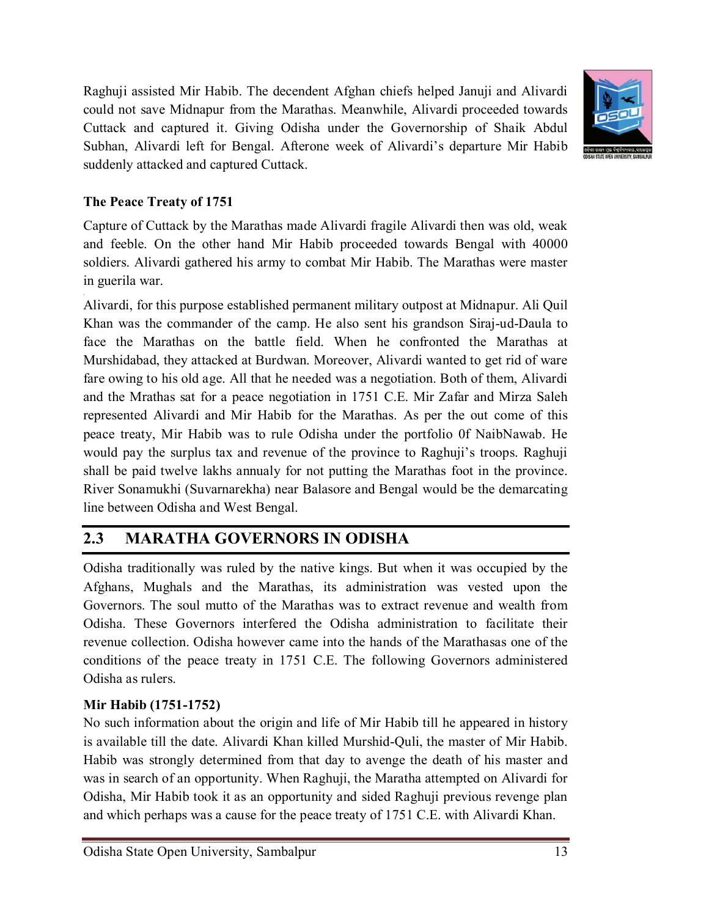Raghuji assisted Mir Habib. The decendent Afghan chiefs helped Januji and Alivardi could not save Midnapur from the Marathas. Meanwhile, Alivardi proceeded towards Cuttack and captured it. Giving Odisha under the Governorship of Shaik Abdul Subhan, Alivardi left for Bengal. Afterone week of Alivardi's departure Mir Habib suddenly attacked and captured Cuttack.



### **The Peace Treaty of 1751**

,

Capture of Cuttack by the Marathas made Alivardi fragile Alivardi then was old, weak and feeble. On the other hand Mir Habib proceeded towards Bengal with 40000 soldiers. Alivardi gathered his army to combat Mir Habib. The Marathas were master in guerila war.

Alivardi, for this purpose established permanent military outpost at Midnapur. Ali Quil Khan was the commander of the camp. He also sent his grandson Siraj-ud-Daula to face the Marathas on the battle field. When he confronted the Marathas at Murshidabad, they attacked at Burdwan. Moreover, Alivardi wanted to get rid of ware fare owing to his old age. All that he needed was a negotiation. Both of them, Alivardi and the Mrathas sat for a peace negotiation in 1751 C.E. Mir Zafar and Mirza Saleh represented Alivardi and Mir Habib for the Marathas. As per the out come of this peace treaty, Mir Habib was to rule Odisha under the portfolio 0f NaibNawab. He would pay the surplus tax and revenue of the province to Raghuji's troops. Raghuji shall be paid twelve lakhs annualy for not putting the Marathas foot in the province. River Sonamukhi (Suvarnarekha) near Balasore and Bengal would be the demarcating line between Odisha and West Bengal.

# **2.3 MARATHA GOVERNORS IN ODISHA**

Odisha traditionally was ruled by the native kings. But when it was occupied by the Afghans, Mughals and the Marathas, its administration was vested upon the Governors. The soul mutto of the Marathas was to extract revenue and wealth from Odisha. These Governors interfered the Odisha administration to facilitate their revenue collection. Odisha however came into the hands of the Marathasas one of the conditions of the peace treaty in 1751 C.E. The following Governors administered Odisha as rulers.

### **Mir Habib (1751-1752)**

No such information about the origin and life of Mir Habib till he appeared in history is available till the date. Alivardi Khan killed Murshid-Quli, the master of Mir Habib. Habib was strongly determined from that day to avenge the death of his master and was in search of an opportunity. When Raghuji, the Maratha attempted on Alivardi for Odisha, Mir Habib took it as an opportunity and sided Raghuji previous revenge plan and which perhaps was a cause for the peace treaty of 1751 C.E. with Alivardi Khan.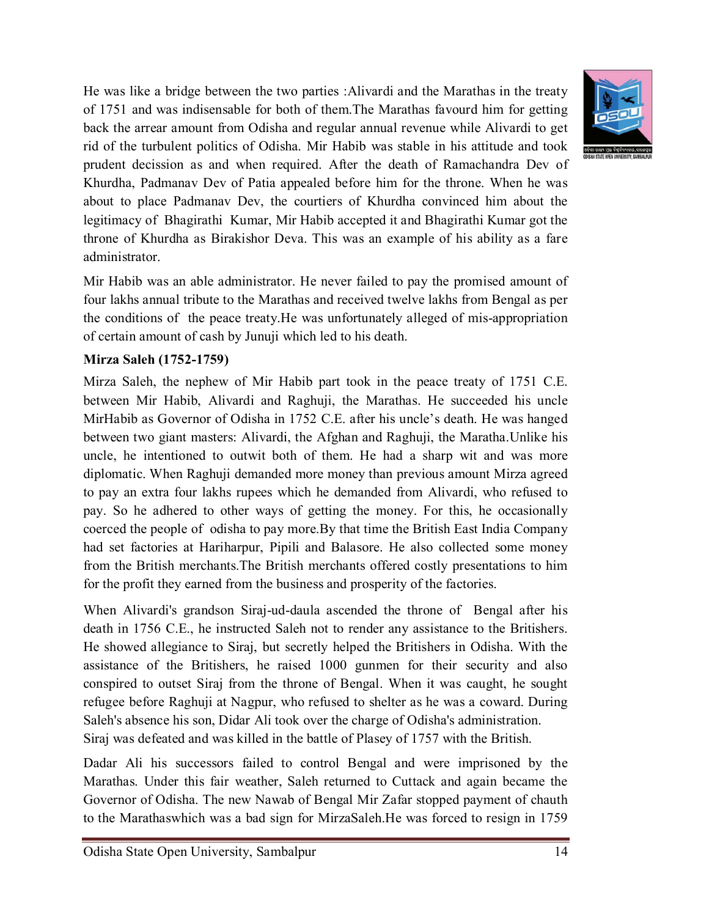He was like a bridge between the two parties :Alivardi and the Marathas in the treaty of 1751 and was indisensable for both of them.The Marathas favourd him for getting back the arrear amount from Odisha and regular annual revenue while Alivardi to get rid of the turbulent politics of Odisha. Mir Habib was stable in his attitude and took prudent decission as and when required. After the death of Ramachandra Dev of Khurdha, Padmanav Dev of Patia appealed before him for the throne. When he was about to place Padmanav Dev, the courtiers of Khurdha convinced him about the legitimacy of Bhagirathi Kumar, Mir Habib accepted it and Bhagirathi Kumar got the throne of Khurdha as Birakishor Deva. This was an example of his ability as a fare administrator.

Mir Habib was an able administrator. He never failed to pay the promised amount of four lakhs annual tribute to the Marathas and received twelve lakhs from Bengal as per the conditions of the peace treaty.He was unfortunately alleged of mis-appropriation of certain amount of cash by Junuji which led to his death.

### **Mirza Saleh (1752-1759)**

Mirza Saleh, the nephew of Mir Habib part took in the peace treaty of 1751 C.E. between Mir Habib, Alivardi and Raghuji, the Marathas. He succeeded his uncle MirHabib as Governor of Odisha in 1752 C.E. after his uncle's death. He was hanged between two giant masters: Alivardi, the Afghan and Raghuji, the Maratha.Unlike his uncle, he intentioned to outwit both of them. He had a sharp wit and was more diplomatic. When Raghuji demanded more money than previous amount Mirza agreed to pay an extra four lakhs rupees which he demanded from Alivardi, who refused to pay. So he adhered to other ways of getting the money. For this, he occasionally coerced the people of odisha to pay more.By that time the British East India Company had set factories at Hariharpur, Pipili and Balasore. He also collected some money from the British merchants.The British merchants offered costly presentations to him for the profit they earned from the business and prosperity of the factories.

When Alivardi's grandson Siraj-ud-daula ascended the throne of Bengal after his death in 1756 C.E., he instructed Saleh not to render any assistance to the Britishers. He showed allegiance to Siraj, but secretly helped the Britishers in Odisha. With the assistance of the Britishers, he raised 1000 gunmen for their security and also conspired to outset Siraj from the throne of Bengal. When it was caught, he sought refugee before Raghuji at Nagpur, who refused to shelter as he was a coward. During Saleh's absence his son, Didar Ali took over the charge of Odisha's administration. Siraj was defeated and was killed in the battle of Plasey of 1757 with the British.

Dadar Ali his successors failed to control Bengal and were imprisoned by the Marathas. Under this fair weather, Saleh returned to Cuttack and again became the Governor of Odisha. The new Nawab of Bengal Mir Zafar stopped payment of chauth to the Marathaswhich was a bad sign for MirzaSaleh.He was forced to resign in 1759

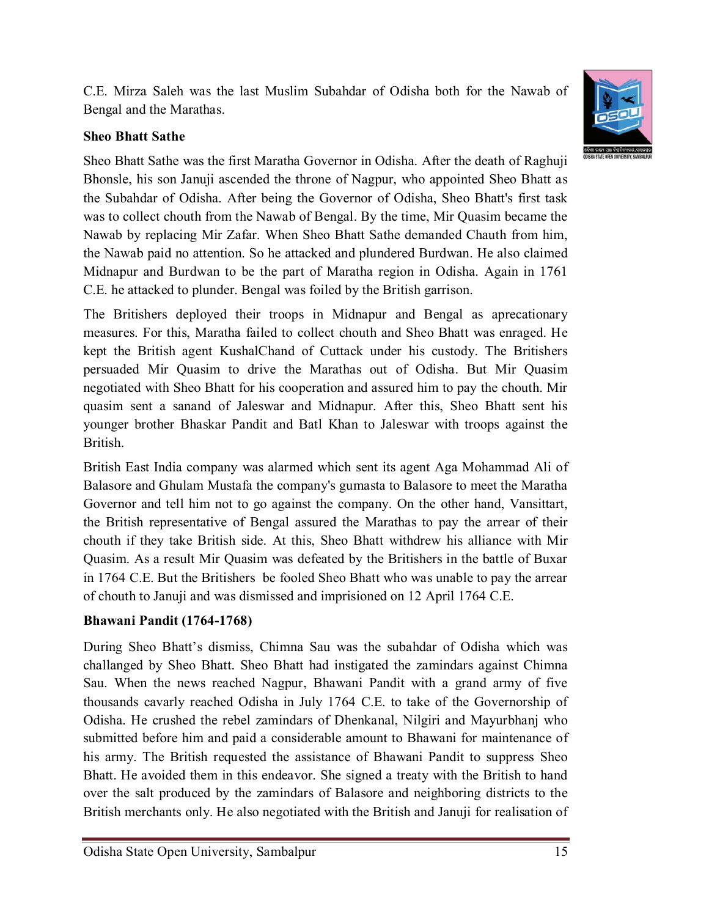C.E. Mirza Saleh was the last Muslim Subahdar of Odisha both for the Nawab of Bengal and the Marathas.

### **Sheo Bhatt Sathe**

Sheo Bhatt Sathe was the first Maratha Governor in Odisha. After the death of Raghuji Bhonsle, his son Januji ascended the throne of Nagpur, who appointed Sheo Bhatt as the Subahdar of Odisha. After being the Governor of Odisha, Sheo Bhatt's first task was to collect chouth from the Nawab of Bengal. By the time, Mir Quasim became the Nawab by replacing Mir Zafar. When Sheo Bhatt Sathe demanded Chauth from him, the Nawab paid no attention. So he attacked and plundered Burdwan. He also claimed Midnapur and Burdwan to be the part of Maratha region in Odisha. Again in 1761 C.E. he attacked to plunder. Bengal was foiled by the British garrison.

The Britishers deployed their troops in Midnapur and Bengal as aprecationary measures. For this, Maratha failed to collect chouth and Sheo Bhatt was enraged. He kept the British agent KushalChand of Cuttack under his custody. The Britishers persuaded Mir Quasim to drive the Marathas out of Odisha. But Mir Quasim negotiated with Sheo Bhatt for his cooperation and assured him to pay the chouth. Mir quasim sent a sanand of Jaleswar and Midnapur. After this, Sheo Bhatt sent his younger brother Bhaskar Pandit and Batl Khan to Jaleswar with troops against the British.

British East India company was alarmed which sent its agent Aga Mohammad Ali of Balasore and Ghulam Mustafa the company's gumasta to Balasore to meet the Maratha Governor and tell him not to go against the company. On the other hand, Vansittart, the British representative of Bengal assured the Marathas to pay the arrear of their chouth if they take British side. At this, Sheo Bhatt withdrew his alliance with Mir Quasim. As a result Mir Quasim was defeated by the Britishers in the battle of Buxar in 1764 C.E. But the Britishers be fooled Sheo Bhatt who was unable to pay the arrear of chouth to Januji and was dismissed and imprisioned on 12 April 1764 C.E.

### **Bhawani Pandit (1764-1768)**

During Sheo Bhatt's dismiss, Chimna Sau was the subahdar of Odisha which was challanged by Sheo Bhatt. Sheo Bhatt had instigated the zamindars against Chimna Sau. When the news reached Nagpur, Bhawani Pandit with a grand army of five thousands cavarly reached Odisha in July 1764 C.E. to take of the Governorship of Odisha. He crushed the rebel zamindars of Dhenkanal, Nilgiri and Mayurbhanj who submitted before him and paid a considerable amount to Bhawani for maintenance of his army. The British requested the assistance of Bhawani Pandit to suppress Sheo Bhatt. He avoided them in this endeavor. She signed a treaty with the British to hand over the salt produced by the zamindars of Balasore and neighboring districts to the British merchants only. He also negotiated with the British and Januji for realisation of

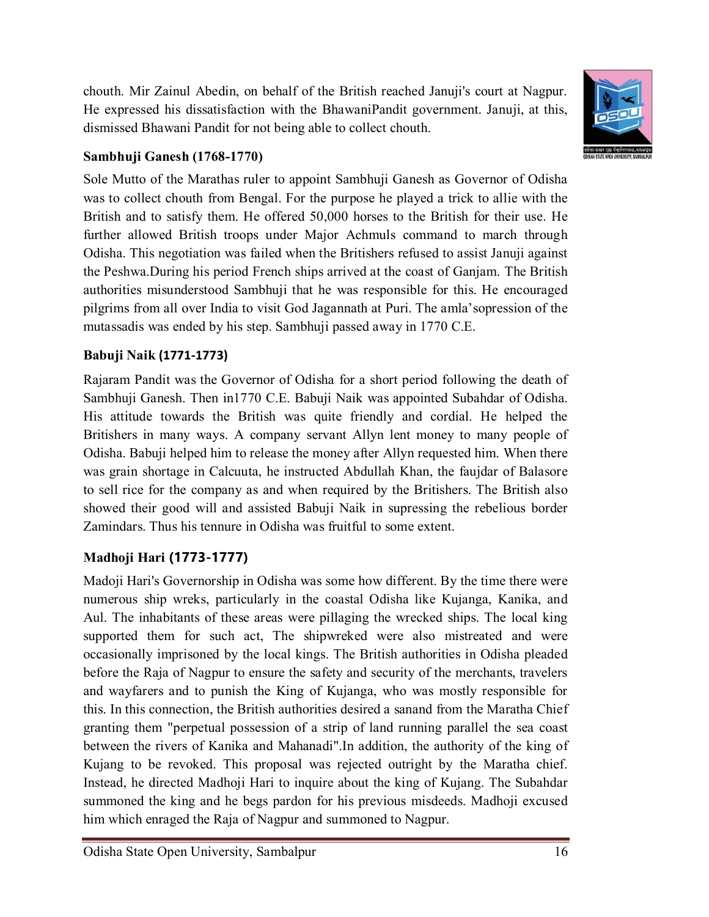chouth. Mir Zainul Abedin, on behalf of the British reached Januji's court at Nagpur. He expressed his dissatisfaction with the BhawaniPandit government. Januji, at this, dismissed Bhawani Pandit for not being able to collect chouth.



### **Sambhuji Ganesh (1768-1770)**

Sole Mutto of the Marathas ruler to appoint Sambhuji Ganesh as Governor of Odisha was to collect chouth from Bengal. For the purpose he played a trick to allie with the British and to satisfy them. He offered 50,000 horses to the British for their use. He further allowed British troops under Major Achmuls command to march through Odisha. This negotiation was failed when the Britishers refused to assist Januji against the Peshwa.During his period French ships arrived at the coast of Ganjam. The British authorities misunderstood Sambhuji that he was responsible for this. He encouraged pilgrims from all over India to visit God Jagannath at Puri. The amla'sopression of the mutassadis was ended by his step. Sambhuji passed away in 1770 C.E.

### **Babuji Naik (1771-1773)**

Rajaram Pandit was the Governor of Odisha for a short period following the death of Sambhuji Ganesh. Then in1770 C.E. Babuji Naik was appointed Subahdar of Odisha. His attitude towards the British was quite friendly and cordial. He helped the Britishers in many ways. A company servant Allyn lent money to many people of Odisha. Babuji helped him to release the money after Allyn requested him. When there was grain shortage in Calcuuta, he instructed Abdullah Khan, the faujdar of Balasore to sell rice for the company as and when required by the Britishers. The British also showed their good will and assisted Babuji Naik in supressing the rebelious border Zamindars. Thus his tennure in Odisha was fruitful to some extent.

## **Madhoji Hari (1773-1777)**

Madoji Hari's Governorship in Odisha was some how different. By the time there were numerous ship wreks, particularly in the coastal Odisha like Kujanga, Kanika, and Aul. The inhabitants of these areas were pillaging the wrecked ships. The local king supported them for such act, The shipwreked were also mistreated and were occasionally imprisoned by the local kings. The British authorities in Odisha pleaded before the Raja of Nagpur to ensure the safety and security of the merchants, travelers and wayfarers and to punish the King of Kujanga, who was mostly responsible for this. In this connection, the British authorities desired a sanand from the Maratha Chief granting them "perpetual possession of a strip of land running parallel the sea coast between the rivers of Kanika and Mahanadi".In addition, the authority of the king of Kujang to be revoked. This proposal was rejected outright by the Maratha chief. Instead, he directed Madhoji Hari to inquire about the king of Kujang. The Subahdar summoned the king and he begs pardon for his previous misdeeds. Madhoji excused him which enraged the Raja of Nagpur and summoned to Nagpur.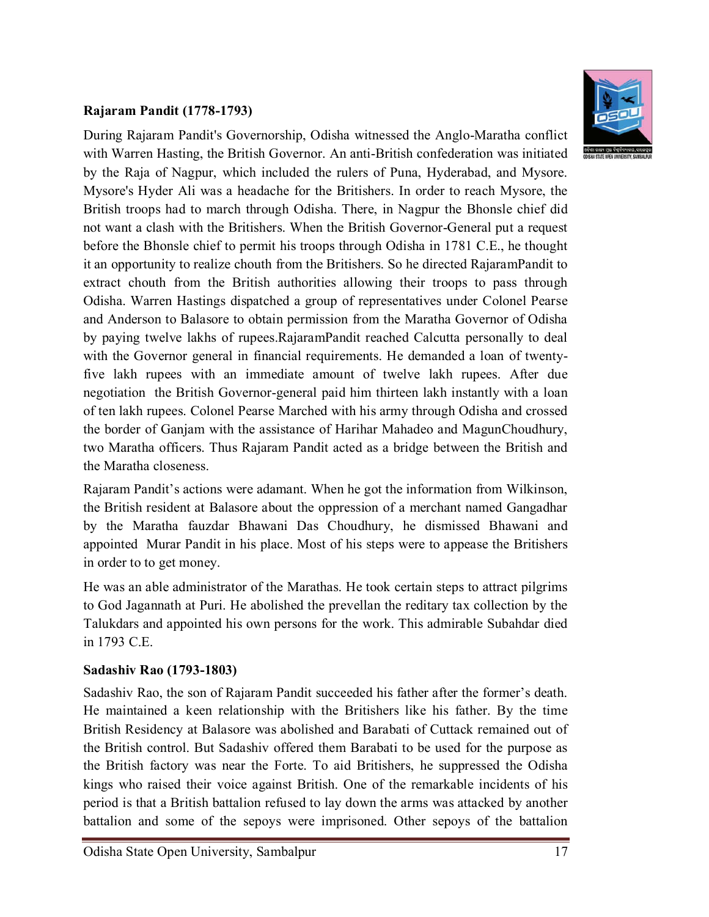#### **Rajaram Pandit (1778-1793)**



During Rajaram Pandit's Governorship, Odisha witnessed the Anglo-Maratha conflict with Warren Hasting, the British Governor. An anti-British confederation was initiated by the Raja of Nagpur, which included the rulers of Puna, Hyderabad, and Mysore. Mysore's Hyder Ali was a headache for the Britishers. In order to reach Mysore, the British troops had to march through Odisha. There, in Nagpur the Bhonsle chief did not want a clash with the Britishers. When the British Governor-General put a request before the Bhonsle chief to permit his troops through Odisha in 1781 C.E., he thought it an opportunity to realize chouth from the Britishers. So he directed RajaramPandit to extract chouth from the British authorities allowing their troops to pass through Odisha. Warren Hastings dispatched a group of representatives under Colonel Pearse and Anderson to Balasore to obtain permission from the Maratha Governor of Odisha by paying twelve lakhs of rupees.RajaramPandit reached Calcutta personally to deal with the Governor general in financial requirements. He demanded a loan of twentyfive lakh rupees with an immediate amount of twelve lakh rupees. After due negotiation the British Governor-general paid him thirteen lakh instantly with a loan of ten lakh rupees. Colonel Pearse Marched with his army through Odisha and crossed the border of Ganjam with the assistance of Harihar Mahadeo and MagunChoudhury, two Maratha officers. Thus Rajaram Pandit acted as a bridge between the British and the Maratha closeness.

Rajaram Pandit's actions were adamant. When he got the information from Wilkinson, the British resident at Balasore about the oppression of a merchant named Gangadhar by the Maratha fauzdar Bhawani Das Choudhury, he dismissed Bhawani and appointed Murar Pandit in his place. Most of his steps were to appease the Britishers in order to to get money.

He was an able administrator of the Marathas. He took certain steps to attract pilgrims to God Jagannath at Puri. He abolished the prevellan the reditary tax collection by the Talukdars and appointed his own persons for the work. This admirable Subahdar died in 1793 C.E.

### **Sadashiv Rao (1793-1803)**

Sadashiv Rao, the son of Rajaram Pandit succeeded his father after the former's death. He maintained a keen relationship with the Britishers like his father. By the time British Residency at Balasore was abolished and Barabati of Cuttack remained out of the British control. But Sadashiv offered them Barabati to be used for the purpose as the British factory was near the Forte. To aid Britishers, he suppressed the Odisha kings who raised their voice against British. One of the remarkable incidents of his period is that a British battalion refused to lay down the arms was attacked by another battalion and some of the sepoys were imprisoned. Other sepoys of the battalion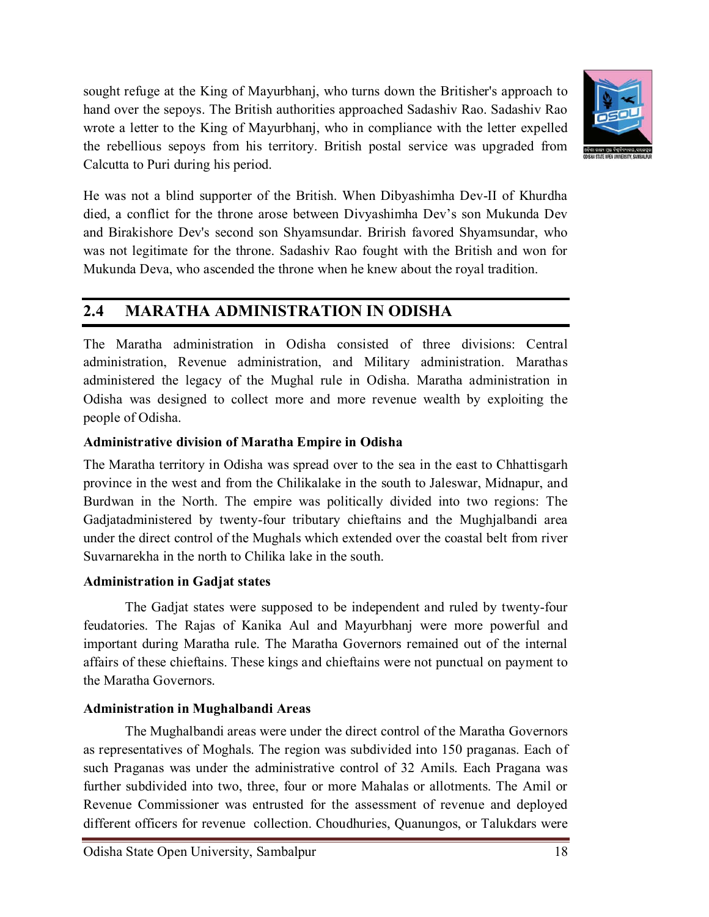sought refuge at the King of Mayurbhanj, who turns down the Britisher's approach to hand over the sepoys. The British authorities approached Sadashiv Rao. Sadashiv Rao wrote a letter to the King of Mayurbhanj, who in compliance with the letter expelled the rebellious sepoys from his territory. British postal service was upgraded from Calcutta to Puri during his period.



He was not a blind supporter of the British. When Dibyashimha Dev-II of Khurdha died, a conflict for the throne arose between Divyashimha Dev's son Mukunda Dev and Birakishore Dev's second son Shyamsundar. Brirish favored Shyamsundar, who was not legitimate for the throne. Sadashiv Rao fought with the British and won for Mukunda Deva, who ascended the throne when he knew about the royal tradition.

# **2.4 MARATHA ADMINISTRATION IN ODISHA**

The Maratha administration in Odisha consisted of three divisions: Central administration, Revenue administration, and Military administration. Marathas administered the legacy of the Mughal rule in Odisha. Maratha administration in Odisha was designed to collect more and more revenue wealth by exploiting the people of Odisha.

#### **Administrative division of Maratha Empire in Odisha**

The Maratha territory in Odisha was spread over to the sea in the east to Chhattisgarh province in the west and from the Chilikalake in the south to Jaleswar, Midnapur, and Burdwan in the North. The empire was politically divided into two regions: The Gadjatadministered by twenty-four tributary chieftains and the Mughjalbandi area under the direct control of the Mughals which extended over the coastal belt from river Suvarnarekha in the north to Chilika lake in the south.

#### **Administration in Gadjat states**

The Gadjat states were supposed to be independent and ruled by twenty-four feudatories. The Rajas of Kanika Aul and Mayurbhanj were more powerful and important during Maratha rule. The Maratha Governors remained out of the internal affairs of these chieftains. These kings and chieftains were not punctual on payment to the Maratha Governors.

### **Administration in Mughalbandi Areas**

The Mughalbandi areas were under the direct control of the Maratha Governors as representatives of Moghals. The region was subdivided into 150 praganas. Each of such Praganas was under the administrative control of 32 Amils. Each Pragana was further subdivided into two, three, four or more Mahalas or allotments. The Amil or Revenue Commissioner was entrusted for the assessment of revenue and deployed different officers for revenue collection. Choudhuries, Quanungos, or Talukdars were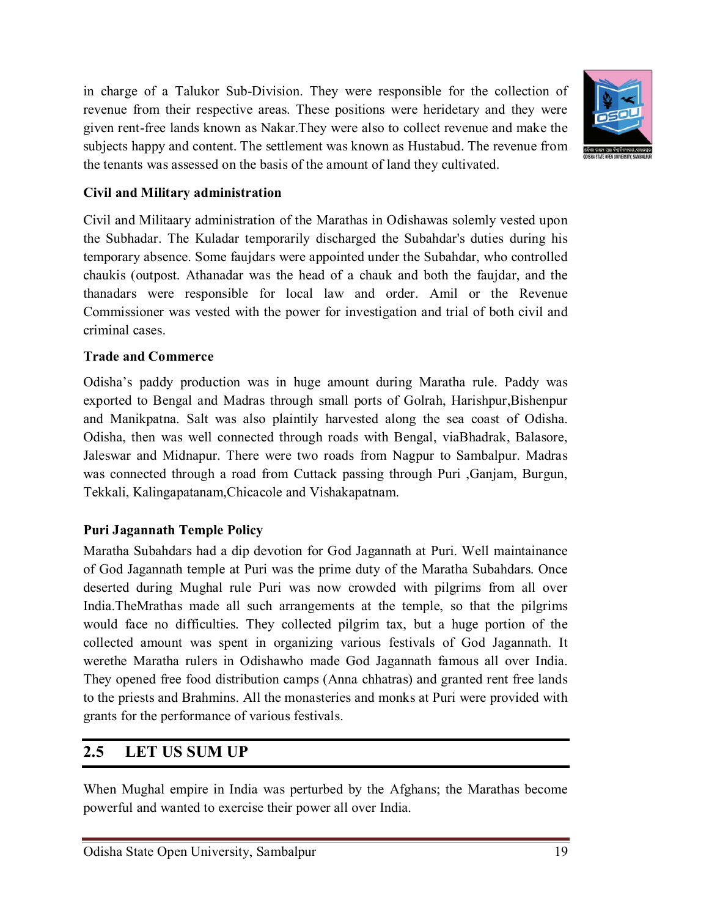in charge of a Talukor Sub-Division. They were responsible for the collection of revenue from their respective areas. These positions were heridetary and they were given rent-free lands known as Nakar.They were also to collect revenue and make the subjects happy and content. The settlement was known as Hustabud. The revenue from the tenants was assessed on the basis of the amount of land they cultivated.



#### **Civil and Military administration**

Civil and Militaary administration of the Marathas in Odishawas solemly vested upon the Subhadar. The Kuladar temporarily discharged the Subahdar's duties during his temporary absence. Some faujdars were appointed under the Subahdar, who controlled chaukis (outpost. Athanadar was the head of a chauk and both the faujdar, and the thanadars were responsible for local law and order. Amil or the Revenue Commissioner was vested with the power for investigation and trial of both civil and criminal cases.

#### **Trade and Commerce**

Odisha's paddy production was in huge amount during Maratha rule. Paddy was exported to Bengal and Madras through small ports of Golrah, Harishpur,Bishenpur and Manikpatna. Salt was also plaintily harvested along the sea coast of Odisha. Odisha, then was well connected through roads with Bengal, viaBhadrak, Balasore, Jaleswar and Midnapur. There were two roads from Nagpur to Sambalpur. Madras was connected through a road from Cuttack passing through Puri ,Ganjam, Burgun, Tekkali, Kalingapatanam,Chicacole and Vishakapatnam.

### **Puri Jagannath Temple Policy**

Maratha Subahdars had a dip devotion for God Jagannath at Puri. Well maintainance of God Jagannath temple at Puri was the prime duty of the Maratha Subahdars. Once deserted during Mughal rule Puri was now crowded with pilgrims from all over India.TheMrathas made all such arrangements at the temple, so that the pilgrims would face no difficulties. They collected pilgrim tax, but a huge portion of the collected amount was spent in organizing various festivals of God Jagannath. It werethe Maratha rulers in Odishawho made God Jagannath famous all over India. They opened free food distribution camps (Anna chhatras) and granted rent free lands to the priests and Brahmins. All the monasteries and monks at Puri were provided with grants for the performance of various festivals.

### **2.5 LET US SUM UP**

When Mughal empire in India was perturbed by the Afghans; the Marathas become powerful and wanted to exercise their power all over India.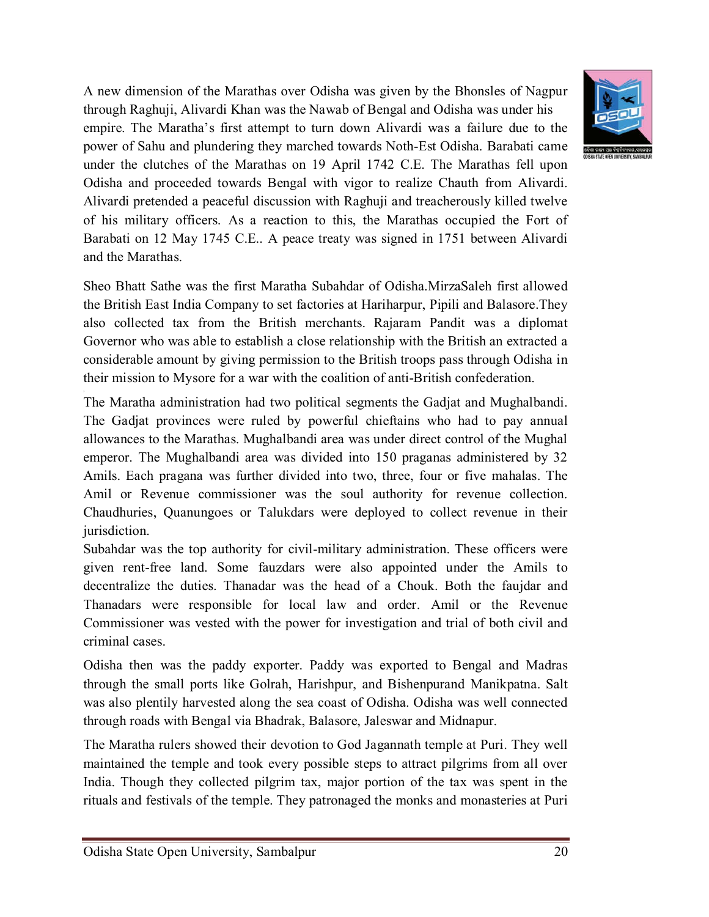A new dimension of the Marathas over Odisha was given by the Bhonsles of Nagpur through Raghuji, Alivardi Khan was the Nawab of Bengal and Odisha was under his empire. The Maratha's first attempt to turn down Alivardi was a failure due to the power of Sahu and plundering they marched towards Noth-Est Odisha. Barabati came under the clutches of the Marathas on 19 April 1742 C.E. The Marathas fell upon Odisha and proceeded towards Bengal with vigor to realize Chauth from Alivardi. Alivardi pretended a peaceful discussion with Raghuji and treacherously killed twelve of his military officers. As a reaction to this, the Marathas occupied the Fort of Barabati on 12 May 1745 C.E.. A peace treaty was signed in 1751 between Alivardi and the Marathas.



The Maratha administration had two political segments the Gadjat and Mughalbandi. The Gadjat provinces were ruled by powerful chieftains who had to pay annual allowances to the Marathas. Mughalbandi area was under direct control of the Mughal emperor. The Mughalbandi area was divided into 150 praganas administered by 32 Amils. Each pragana was further divided into two, three, four or five mahalas. The Amil or Revenue commissioner was the soul authority for revenue collection. Chaudhuries, Quanungoes or Talukdars were deployed to collect revenue in their jurisdiction.

Subahdar was the top authority for civil-military administration. These officers were given rent-free land. Some fauzdars were also appointed under the Amils to decentralize the duties. Thanadar was the head of a Chouk. Both the faujdar and Thanadars were responsible for local law and order. Amil or the Revenue Commissioner was vested with the power for investigation and trial of both civil and criminal cases.

Odisha then was the paddy exporter. Paddy was exported to Bengal and Madras through the small ports like Golrah, Harishpur, and Bishenpurand Manikpatna. Salt was also plentily harvested along the sea coast of Odisha. Odisha was well connected through roads with Bengal via Bhadrak, Balasore, Jaleswar and Midnapur.

The Maratha rulers showed their devotion to God Jagannath temple at Puri. They well maintained the temple and took every possible steps to attract pilgrims from all over India. Though they collected pilgrim tax, major portion of the tax was spent in the rituals and festivals of the temple. They patronaged the monks and monasteries at Puri

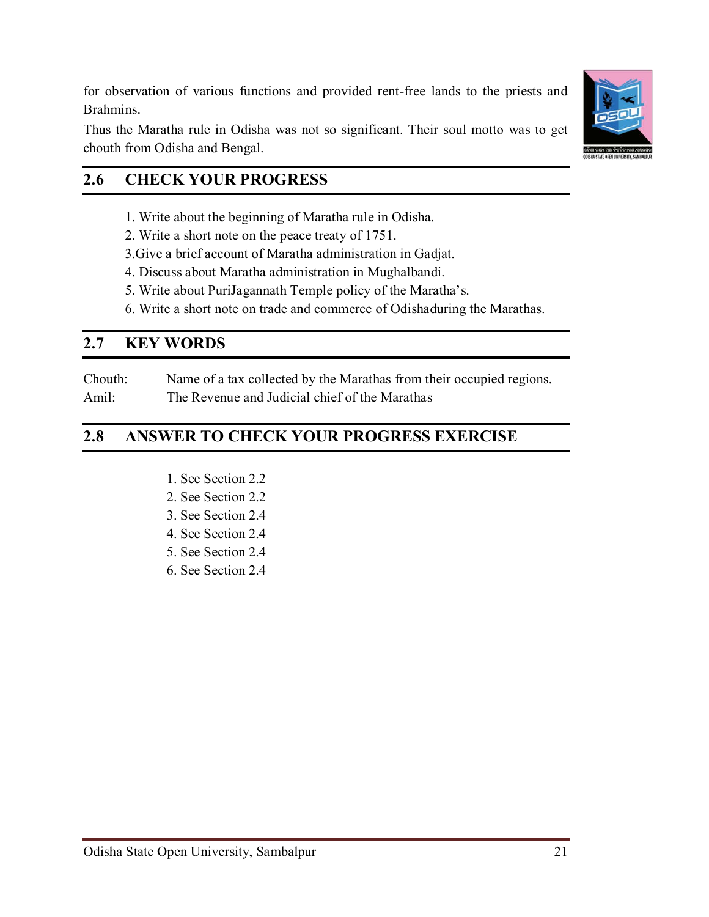for observation of various functions and provided rent-free lands to the priests and Brahmins.

Thus the Maratha rule in Odisha was not so significant. Their soul motto was to get chouth from Odisha and Bengal.

# **2.6 CHECK YOUR PROGRESS**

- 1. Write about the beginning of Maratha rule in Odisha.
- 2. Write a short note on the peace treaty of 1751.
- 3.Give a brief account of Maratha administration in Gadjat.
- 4. Discuss about Maratha administration in Mughalbandi.
- 5. Write about PuriJagannath Temple policy of the Maratha's.
- 6. Write a short note on trade and commerce of Odishaduring the Marathas.

# **2.7 KEY WORDS**

Chouth: Name of a tax collected by the Marathas from their occupied regions. Amil: The Revenue and Judicial chief of the Marathas

# **2.8 ANSWER TO CHECK YOUR PROGRESS EXERCISE**

- 1. See Section 2.2
- 2. See Section 2.2
- 3. See Section 2.4
- 4. See Section 2.4
- 5. See Section 2.4
- 6. See Section 2.4



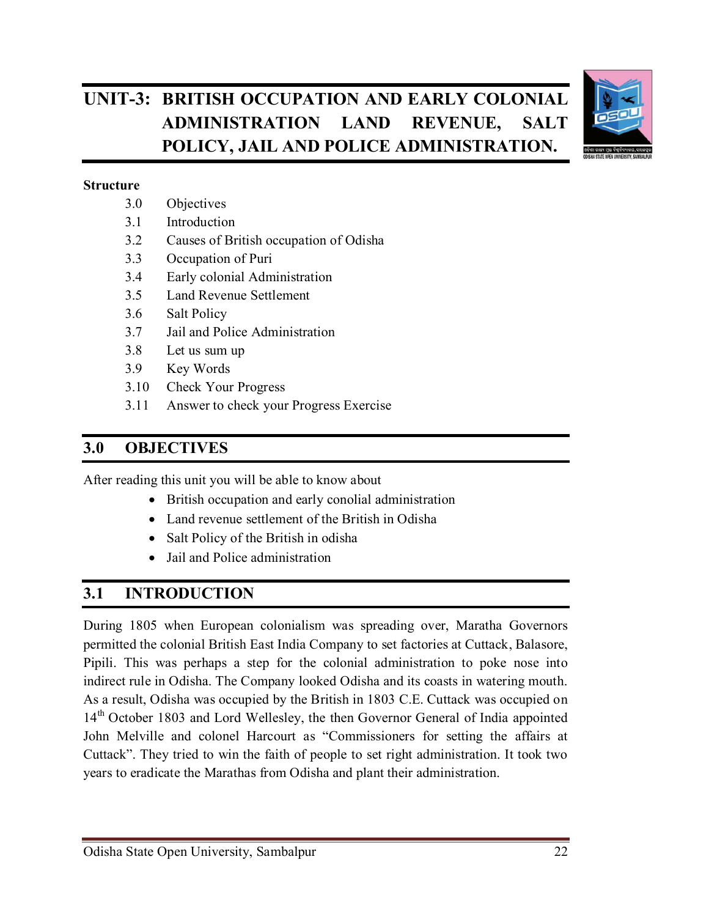# **UNIT-3: BRITISH OCCUPATION AND EARLY COLONIAL ADMINISTRATION LAND REVENUE, SALT POLICY, JAIL AND POLICE ADMINISTRATION.**



#### **Structure**

- 3.0 Objectives
- 3.1 Introduction
- 3.2 Causes of British occupation of Odisha
- 3.3 Occupation of Puri
- 3.4 Early colonial Administration
- 3.5 Land Revenue Settlement
- 3.6 Salt Policy
- 3.7 Jail and Police Administration
- 3.8 Let us sum up
- 3.9 Key Words
- 3.10 Check Your Progress
- 3.11 Answer to check your Progress Exercise

### **3.0 OBJECTIVES**

After reading this unit you will be able to know about

- British occupation and early conolial administration
- Land revenue settlement of the British in Odisha
- Salt Policy of the British in odisha
- Jail and Police administration

# **3.1 INTRODUCTION**

During 1805 when European colonialism was spreading over, Maratha Governors permitted the colonial British East India Company to set factories at Cuttack, Balasore, Pipili. This was perhaps a step for the colonial administration to poke nose into indirect rule in Odisha. The Company looked Odisha and its coasts in watering mouth. As a result, Odisha was occupied by the British in 1803 C.E. Cuttack was occupied on 14<sup>th</sup> October 1803 and Lord Wellesley, the then Governor General of India appointed John Melville and colonel Harcourt as "Commissioners for setting the affairs at Cuttack". They tried to win the faith of people to set right administration. It took two years to eradicate the Marathas from Odisha and plant their administration.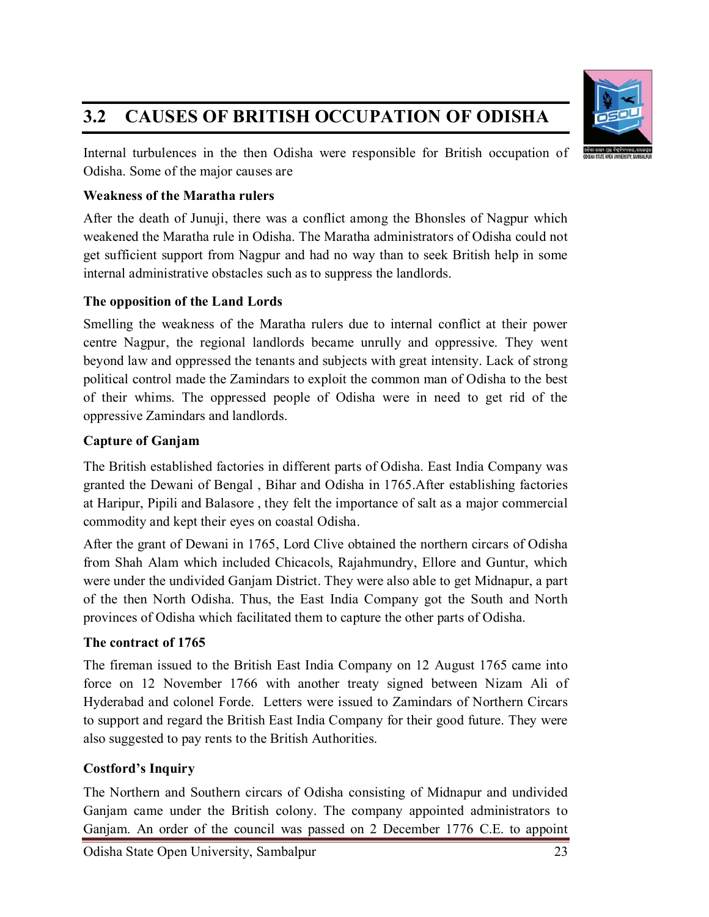# **3.2 CAUSES OF BRITISH OCCUPATION OF ODISHA**



Internal turbulences in the then Odisha were responsible for British occupation of Odisha. Some of the major causes are

#### **Weakness of the Maratha rulers**

After the death of Junuji, there was a conflict among the Bhonsles of Nagpur which weakened the Maratha rule in Odisha. The Maratha administrators of Odisha could not get sufficient support from Nagpur and had no way than to seek British help in some internal administrative obstacles such as to suppress the landlords.

### **The opposition of the Land Lords**

Smelling the weakness of the Maratha rulers due to internal conflict at their power centre Nagpur, the regional landlords became unrully and oppressive. They went beyond law and oppressed the tenants and subjects with great intensity. Lack of strong political control made the Zamindars to exploit the common man of Odisha to the best of their whims. The oppressed people of Odisha were in need to get rid of the oppressive Zamindars and landlords.

### **Capture of Ganjam**

The British established factories in different parts of Odisha. East India Company was granted the Dewani of Bengal , Bihar and Odisha in 1765.After establishing factories at Haripur, Pipili and Balasore , they felt the importance of salt as a major commercial commodity and kept their eyes on coastal Odisha.

After the grant of Dewani in 1765, Lord Clive obtained the northern circars of Odisha from Shah Alam which included Chicacols, Rajahmundry, Ellore and Guntur, which were under the undivided Ganjam District. They were also able to get Midnapur, a part of the then North Odisha. Thus, the East India Company got the South and North provinces of Odisha which facilitated them to capture the other parts of Odisha.

### **The contract of 1765**

The fireman issued to the British East India Company on 12 August 1765 came into force on 12 November 1766 with another treaty signed between Nizam Ali of Hyderabad and colonel Forde. Letters were issued to Zamindars of Northern Circars to support and regard the British East India Company for their good future. They were also suggested to pay rents to the British Authorities.

### **Costford's Inquiry**

The Northern and Southern circars of Odisha consisting of Midnapur and undivided Ganjam came under the British colony. The company appointed administrators to Ganjam. An order of the council was passed on 2 December 1776 C.E. to appoint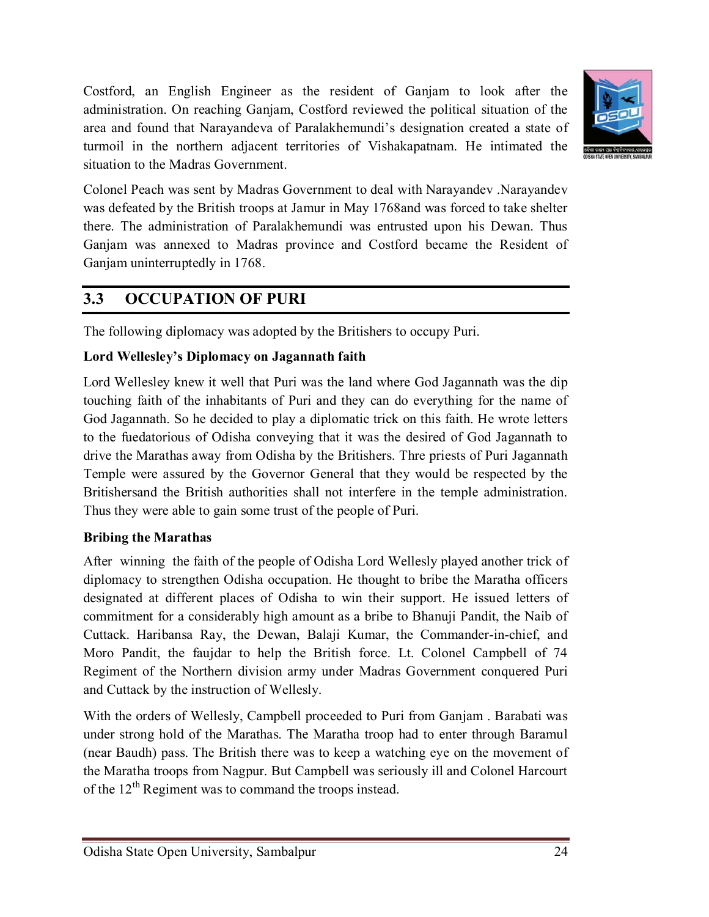Costford, an English Engineer as the resident of Ganjam to look after the administration. On reaching Ganjam, Costford reviewed the political situation of the area and found that Narayandeva of Paralakhemundi's designation created a state of turmoil in the northern adjacent territories of Vishakapatnam. He intimated the situation to the Madras Government.



Colonel Peach was sent by Madras Government to deal with Narayandev .Narayandev was defeated by the British troops at Jamur in May 1768and was forced to take shelter there. The administration of Paralakhemundi was entrusted upon his Dewan. Thus Ganjam was annexed to Madras province and Costford became the Resident of Ganjam uninterruptedly in 1768.

# **3.3 OCCUPATION OF PURI**

The following diplomacy was adopted by the Britishers to occupy Puri.

### **Lord Wellesley's Diplomacy on Jagannath faith**

Lord Wellesley knew it well that Puri was the land where God Jagannath was the dip touching faith of the inhabitants of Puri and they can do everything for the name of God Jagannath. So he decided to play a diplomatic trick on this faith. He wrote letters to the fuedatorious of Odisha conveying that it was the desired of God Jagannath to drive the Marathas away from Odisha by the Britishers. Thre priests of Puri Jagannath Temple were assured by the Governor General that they would be respected by the Britishersand the British authorities shall not interfere in the temple administration. Thus they were able to gain some trust of the people of Puri.

### **Bribing the Marathas**

After winning the faith of the people of Odisha Lord Wellesly played another trick of diplomacy to strengthen Odisha occupation. He thought to bribe the Maratha officers designated at different places of Odisha to win their support. He issued letters of commitment for a considerably high amount as a bribe to Bhanuji Pandit, the Naib of Cuttack. Haribansa Ray, the Dewan, Balaji Kumar, the Commander-in-chief, and Moro Pandit, the faujdar to help the British force. Lt. Colonel Campbell of 74 Regiment of the Northern division army under Madras Government conquered Puri and Cuttack by the instruction of Wellesly.

With the orders of Wellesly, Campbell proceeded to Puri from Ganjam . Barabati was under strong hold of the Marathas. The Maratha troop had to enter through Baramul (near Baudh) pass. The British there was to keep a watching eye on the movement of the Maratha troops from Nagpur. But Campbell was seriously ill and Colonel Harcourt of the  $12<sup>th</sup>$  Regiment was to command the troops instead.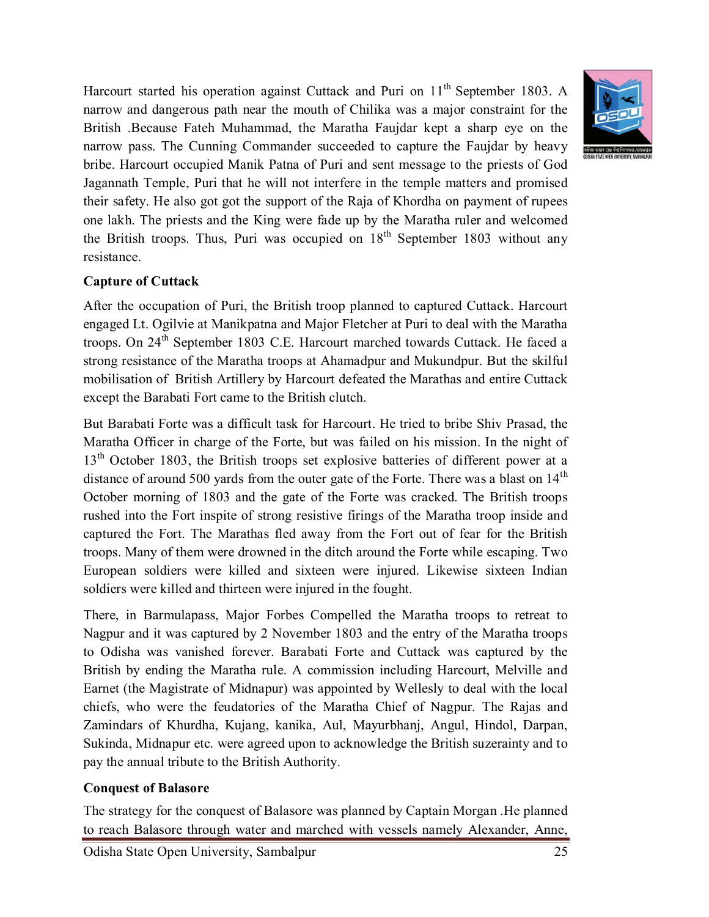Harcourt started his operation against Cuttack and Puri on  $11<sup>th</sup>$  September 1803. A narrow and dangerous path near the mouth of Chilika was a major constraint for the British .Because Fateh Muhammad, the Maratha Faujdar kept a sharp eye on the narrow pass. The Cunning Commander succeeded to capture the Faujdar by heavy bribe. Harcourt occupied Manik Patna of Puri and sent message to the priests of God Jagannath Temple, Puri that he will not interfere in the temple matters and promised their safety. He also got got the support of the Raja of Khordha on payment of rupees one lakh. The priests and the King were fade up by the Maratha ruler and welcomed the British troops. Thus, Puri was occupied on  $18<sup>th</sup>$  September 1803 without any resistance.



#### **Capture of Cuttack**

After the occupation of Puri, the British troop planned to captured Cuttack. Harcourt engaged Lt. Ogilvie at Manikpatna and Major Fletcher at Puri to deal with the Maratha troops. On  $24<sup>th</sup>$  September 1803 C.E. Harcourt marched towards Cuttack. He faced a strong resistance of the Maratha troops at Ahamadpur and Mukundpur. But the skilful mobilisation of British Artillery by Harcourt defeated the Marathas and entire Cuttack except the Barabati Fort came to the British clutch.

But Barabati Forte was a difficult task for Harcourt. He tried to bribe Shiv Prasad, the Maratha Officer in charge of the Forte, but was failed on his mission. In the night of 13<sup>th</sup> October 1803, the British troops set explosive batteries of different power at a distance of around 500 yards from the outer gate of the Forte. There was a blast on  $14<sup>th</sup>$ October morning of 1803 and the gate of the Forte was cracked. The British troops rushed into the Fort inspite of strong resistive firings of the Maratha troop inside and captured the Fort. The Marathas fled away from the Fort out of fear for the British troops. Many of them were drowned in the ditch around the Forte while escaping. Two European soldiers were killed and sixteen were injured. Likewise sixteen Indian soldiers were killed and thirteen were injured in the fought.

There, in Barmulapass, Major Forbes Compelled the Maratha troops to retreat to Nagpur and it was captured by 2 November 1803 and the entry of the Maratha troops to Odisha was vanished forever. Barabati Forte and Cuttack was captured by the British by ending the Maratha rule. A commission including Harcourt, Melville and Earnet (the Magistrate of Midnapur) was appointed by Wellesly to deal with the local chiefs, who were the feudatories of the Maratha Chief of Nagpur. The Rajas and Zamindars of Khurdha, Kujang, kanika, Aul, Mayurbhanj, Angul, Hindol, Darpan, Sukinda, Midnapur etc. were agreed upon to acknowledge the British suzerainty and to pay the annual tribute to the British Authority.

#### **Conquest of Balasore**

The strategy for the conquest of Balasore was planned by Captain Morgan .He planned to reach Balasore through water and marched with vessels namely Alexander, Anne,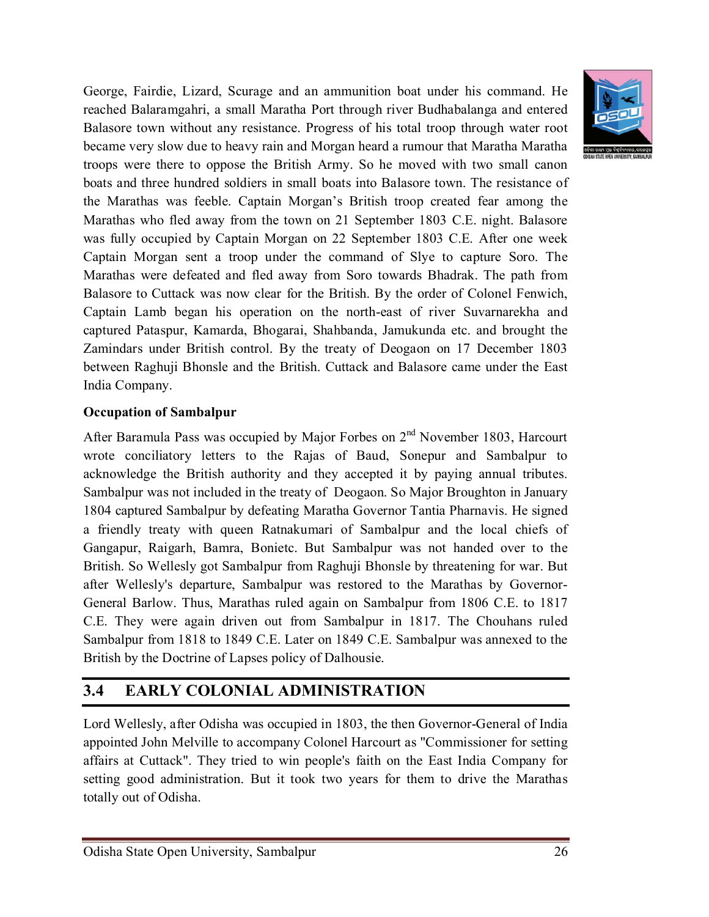George, Fairdie, Lizard, Scurage and an ammunition boat under his command. He reached Balaramgahri, a small Maratha Port through river Budhabalanga and entered Balasore town without any resistance. Progress of his total troop through water root became very slow due to heavy rain and Morgan heard a rumour that Maratha Maratha troops were there to oppose the British Army. So he moved with two small canon boats and three hundred soldiers in small boats into Balasore town. The resistance of the Marathas was feeble. Captain Morgan's British troop created fear among the Marathas who fled away from the town on 21 September 1803 C.E. night. Balasore was fully occupied by Captain Morgan on 22 September 1803 C.E. After one week Captain Morgan sent a troop under the command of Slye to capture Soro. The Marathas were defeated and fled away from Soro towards Bhadrak. The path from Balasore to Cuttack was now clear for the British. By the order of Colonel Fenwich, Captain Lamb began his operation on the north-east of river Suvarnarekha and captured Pataspur, Kamarda, Bhogarai, Shahbanda, Jamukunda etc. and brought the Zamindars under British control. By the treaty of Deogaon on 17 December 1803 between Raghuji Bhonsle and the British. Cuttack and Balasore came under the East India Company.

#### **Occupation of Sambalpur**

After Baramula Pass was occupied by Major Forbes on  $2<sup>nd</sup>$  November 1803, Harcourt wrote conciliatory letters to the Rajas of Baud, Sonepur and Sambalpur to acknowledge the British authority and they accepted it by paying annual tributes. Sambalpur was not included in the treaty of Deogaon. So Major Broughton in January 1804 captured Sambalpur by defeating Maratha Governor Tantia Pharnavis. He signed a friendly treaty with queen Ratnakumari of Sambalpur and the local chiefs of Gangapur, Raigarh, Bamra, Bonietc. But Sambalpur was not handed over to the British. So Wellesly got Sambalpur from Raghuji Bhonsle by threatening for war. But after Wellesly's departure, Sambalpur was restored to the Marathas by Governor-General Barlow. Thus, Marathas ruled again on Sambalpur from 1806 C.E. to 1817 C.E. They were again driven out from Sambalpur in 1817. The Chouhans ruled Sambalpur from 1818 to 1849 C.E. Later on 1849 C.E. Sambalpur was annexed to the British by the Doctrine of Lapses policy of Dalhousie.

### **3.4 EARLY COLONIAL ADMINISTRATION**

Lord Wellesly, after Odisha was occupied in 1803, the then Governor-General of India appointed John Melville to accompany Colonel Harcourt as "Commissioner for setting affairs at Cuttack". They tried to win people's faith on the East India Company for setting good administration. But it took two years for them to drive the Marathas totally out of Odisha.

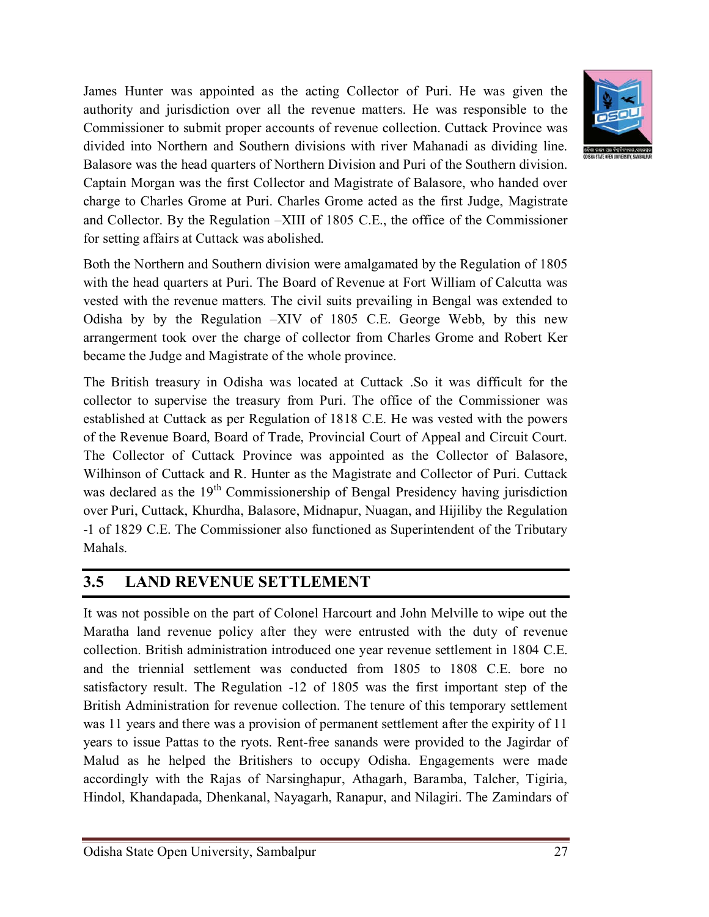

Both the Northern and Southern division were amalgamated by the Regulation of 1805 with the head quarters at Puri. The Board of Revenue at Fort William of Calcutta was vested with the revenue matters. The civil suits prevailing in Bengal was extended to Odisha by by the Regulation –XIV of 1805 C.E. George Webb, by this new arrangerment took over the charge of collector from Charles Grome and Robert Ker became the Judge and Magistrate of the whole province.

The British treasury in Odisha was located at Cuttack .So it was difficult for the collector to supervise the treasury from Puri. The office of the Commissioner was established at Cuttack as per Regulation of 1818 C.E. He was vested with the powers of the Revenue Board, Board of Trade, Provincial Court of Appeal and Circuit Court. The Collector of Cuttack Province was appointed as the Collector of Balasore, Wilhinson of Cuttack and R. Hunter as the Magistrate and Collector of Puri. Cuttack was declared as the  $19<sup>th</sup>$  Commissionership of Bengal Presidency having jurisdiction over Puri, Cuttack, Khurdha, Balasore, Midnapur, Nuagan, and Hijiliby the Regulation -1 of 1829 C.E. The Commissioner also functioned as Superintendent of the Tributary Mahals.

## **3.5 LAND REVENUE SETTLEMENT**

It was not possible on the part of Colonel Harcourt and John Melville to wipe out the Maratha land revenue policy after they were entrusted with the duty of revenue collection. British administration introduced one year revenue settlement in 1804 C.E. and the triennial settlement was conducted from 1805 to 1808 C.E. bore no satisfactory result. The Regulation -12 of 1805 was the first important step of the British Administration for revenue collection. The tenure of this temporary settlement was 11 years and there was a provision of permanent settlement after the expirity of 11 years to issue Pattas to the ryots. Rent-free sanands were provided to the Jagirdar of Malud as he helped the Britishers to occupy Odisha. Engagements were made accordingly with the Rajas of Narsinghapur, Athagarh, Baramba, Talcher, Tigiria, Hindol, Khandapada, Dhenkanal, Nayagarh, Ranapur, and Nilagiri. The Zamindars of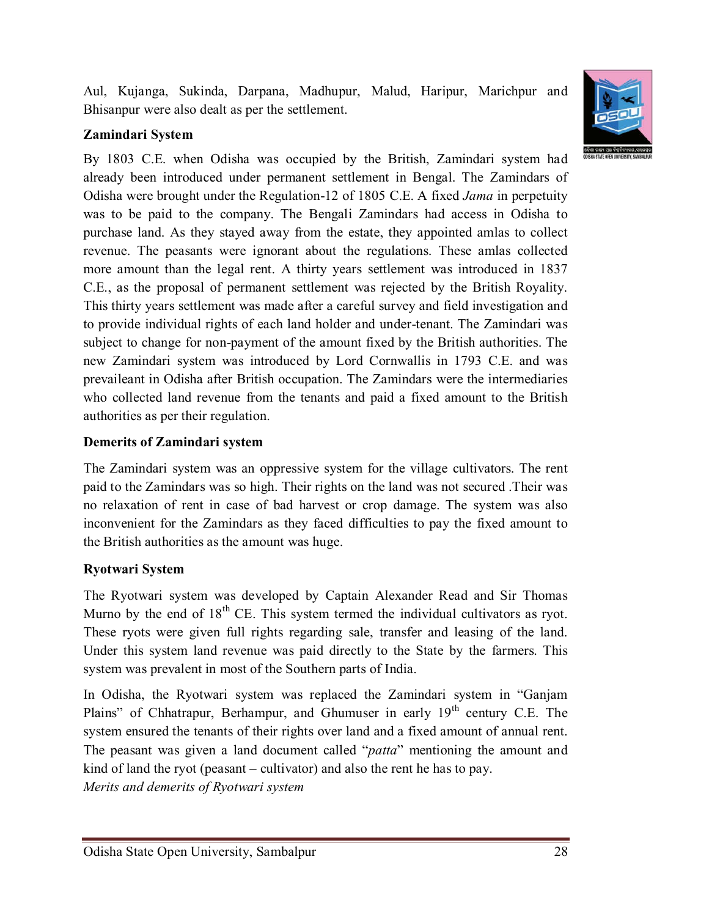Aul, Kujanga, Sukinda, Darpana, Madhupur, Malud, Haripur, Marichpur and Bhisanpur were also dealt as per the settlement.

## **Zamindari System**

By 1803 C.E. when Odisha was occupied by the British, Zamindari system had already been introduced under permanent settlement in Bengal. The Zamindars of Odisha were brought under the Regulation-12 of 1805 C.E. A fixed *Jama* in perpetuity was to be paid to the company. The Bengali Zamindars had access in Odisha to purchase land. As they stayed away from the estate, they appointed amlas to collect revenue. The peasants were ignorant about the regulations. These amlas collected more amount than the legal rent. A thirty years settlement was introduced in 1837 C.E., as the proposal of permanent settlement was rejected by the British Royality. This thirty years settlement was made after a careful survey and field investigation and to provide individual rights of each land holder and under-tenant. The Zamindari was subject to change for non-payment of the amount fixed by the British authorities. The new Zamindari system was introduced by Lord Cornwallis in 1793 C.E. and was prevaileant in Odisha after British occupation. The Zamindars were the intermediaries who collected land revenue from the tenants and paid a fixed amount to the British authorities as per their regulation.

### **Demerits of Zamindari system**

The Zamindari system was an oppressive system for the village cultivators. The rent paid to the Zamindars was so high. Their rights on the land was not secured .Their was no relaxation of rent in case of bad harvest or crop damage. The system was also inconvenient for the Zamindars as they faced difficulties to pay the fixed amount to the British authorities as the amount was huge.

### **Ryotwari System**

The Ryotwari system was developed by Captain Alexander Read and Sir Thomas Murno by the end of  $18<sup>th</sup>$  CE. This system termed the individual cultivators as ryot. These ryots were given full rights regarding sale, transfer and leasing of the land. Under this system land revenue was paid directly to the State by the farmers. This system was prevalent in most of the Southern parts of India.

In Odisha, the Ryotwari system was replaced the Zamindari system in "Ganjam Plains" of Chhatrapur, Berhampur, and Ghumuser in early 19<sup>th</sup> century C.E. The system ensured the tenants of their rights over land and a fixed amount of annual rent. The peasant was given a land document called "*patta*" mentioning the amount and kind of land the ryot (peasant – cultivator) and also the rent he has to pay. *Merits and demerits of Ryotwari system*

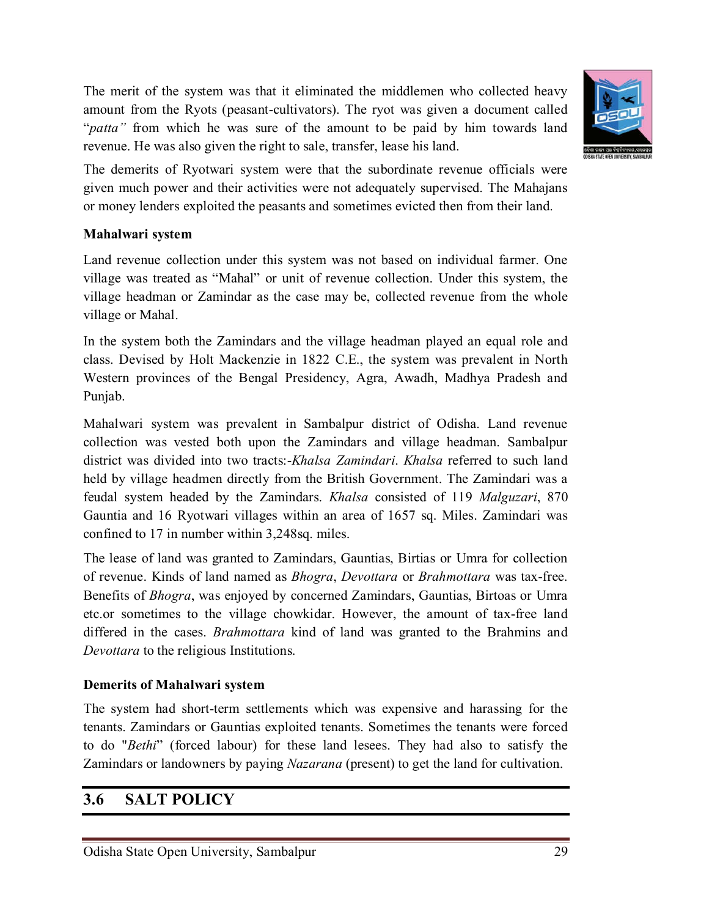The merit of the system was that it eliminated the middlemen who collected heavy amount from the Ryots (peasant-cultivators). The ryot was given a document called "*patta*" from which he was sure of the amount to be paid by him towards land revenue. He was also given the right to sale, transfer, lease his land.



The demerits of Ryotwari system were that the subordinate revenue officials were given much power and their activities were not adequately supervised. The Mahajans or money lenders exploited the peasants and sometimes evicted then from their land.

### **Mahalwari system**

Land revenue collection under this system was not based on individual farmer. One village was treated as "Mahal" or unit of revenue collection. Under this system, the village headman or Zamindar as the case may be, collected revenue from the whole village or Mahal.

In the system both the Zamindars and the village headman played an equal role and class. Devised by Holt Mackenzie in 1822 C.E., the system was prevalent in North Western provinces of the Bengal Presidency, Agra, Awadh, Madhya Pradesh and Punjab.

Mahalwari system was prevalent in Sambalpur district of Odisha. Land revenue collection was vested both upon the Zamindars and village headman. Sambalpur district was divided into two tracts:-*Khalsa Zamindari*. *Khalsa* referred to such land held by village headmen directly from the British Government. The Zamindari was a feudal system headed by the Zamindars. *Khalsa* consisted of 119 *Malguzari*, 870 Gauntia and 16 Ryotwari villages within an area of 1657 sq. Miles. Zamindari was confined to 17 in number within 3,248sq. miles.

The lease of land was granted to Zamindars, Gauntias, Birtias or Umra for collection of revenue. Kinds of land named as *Bhogra*, *Devottara* or *Brahmottara* was tax-free. Benefits of *Bhogra*, was enjoyed by concerned Zamindars, Gauntias, Birtoas or Umra etc.or sometimes to the village chowkidar. However, the amount of tax-free land differed in the cases. *Brahmottara* kind of land was granted to the Brahmins and *Devottara* to the religious Institutions.

#### **Demerits of Mahalwari system**

The system had short-term settlements which was expensive and harassing for the tenants. Zamindars or Gauntias exploited tenants. Sometimes the tenants were forced to do "*Bethi*" (forced labour) for these land lesees. They had also to satisfy the Zamindars or landowners by paying *Nazarana* (present) to get the land for cultivation.

### **3.6 SALT POLICY**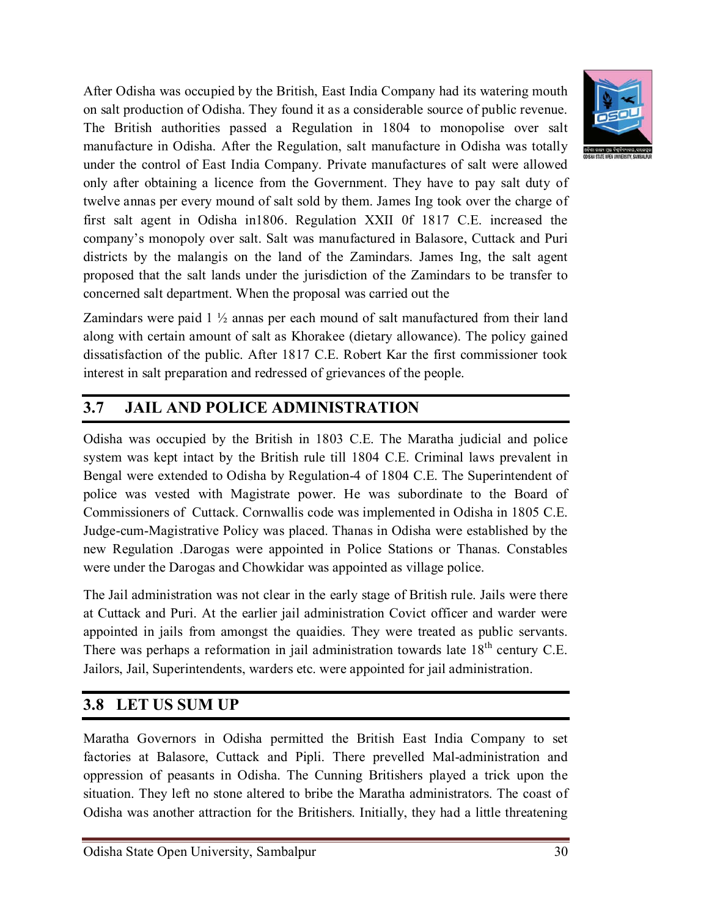After Odisha was occupied by the British, East India Company had its watering mouth on salt production of Odisha. They found it as a considerable source of public revenue. The British authorities passed a Regulation in 1804 to monopolise over salt manufacture in Odisha. After the Regulation, salt manufacture in Odisha was totally under the control of East India Company. Private manufactures of salt were allowed only after obtaining a licence from the Government. They have to pay salt duty of twelve annas per every mound of salt sold by them. James Ing took over the charge of first salt agent in Odisha in1806. Regulation XXII 0f 1817 C.E. increased the company's monopoly over salt. Salt was manufactured in Balasore, Cuttack and Puri districts by the malangis on the land of the Zamindars. James Ing, the salt agent proposed that the salt lands under the jurisdiction of the Zamindars to be transfer to concerned salt department. When the proposal was carried out the

Zamindars were paid 1 ½ annas per each mound of salt manufactured from their land along with certain amount of salt as Khorakee (dietary allowance). The policy gained dissatisfaction of the public. After 1817 C.E. Robert Kar the first commissioner took interest in salt preparation and redressed of grievances of the people.

## **3.7 JAIL AND POLICE ADMINISTRATION**

Odisha was occupied by the British in 1803 C.E. The Maratha judicial and police system was kept intact by the British rule till 1804 C.E. Criminal laws prevalent in Bengal were extended to Odisha by Regulation-4 of 1804 C.E. The Superintendent of police was vested with Magistrate power. He was subordinate to the Board of Commissioners of Cuttack. Cornwallis code was implemented in Odisha in 1805 C.E. Judge-cum-Magistrative Policy was placed. Thanas in Odisha were established by the new Regulation .Darogas were appointed in Police Stations or Thanas. Constables were under the Darogas and Chowkidar was appointed as village police.

The Jail administration was not clear in the early stage of British rule. Jails were there at Cuttack and Puri. At the earlier jail administration Covict officer and warder were appointed in jails from amongst the quaidies. They were treated as public servants. There was perhaps a reformation in jail administration towards late  $18<sup>th</sup>$  century C.E. Jailors, Jail, Superintendents, warders etc. were appointed for jail administration.

## **3.8 LET US SUM UP**

Maratha Governors in Odisha permitted the British East India Company to set factories at Balasore, Cuttack and Pipli. There prevelled Mal-administration and oppression of peasants in Odisha. The Cunning Britishers played a trick upon the situation. They left no stone altered to bribe the Maratha administrators. The coast of Odisha was another attraction for the Britishers. Initially, they had a little threatening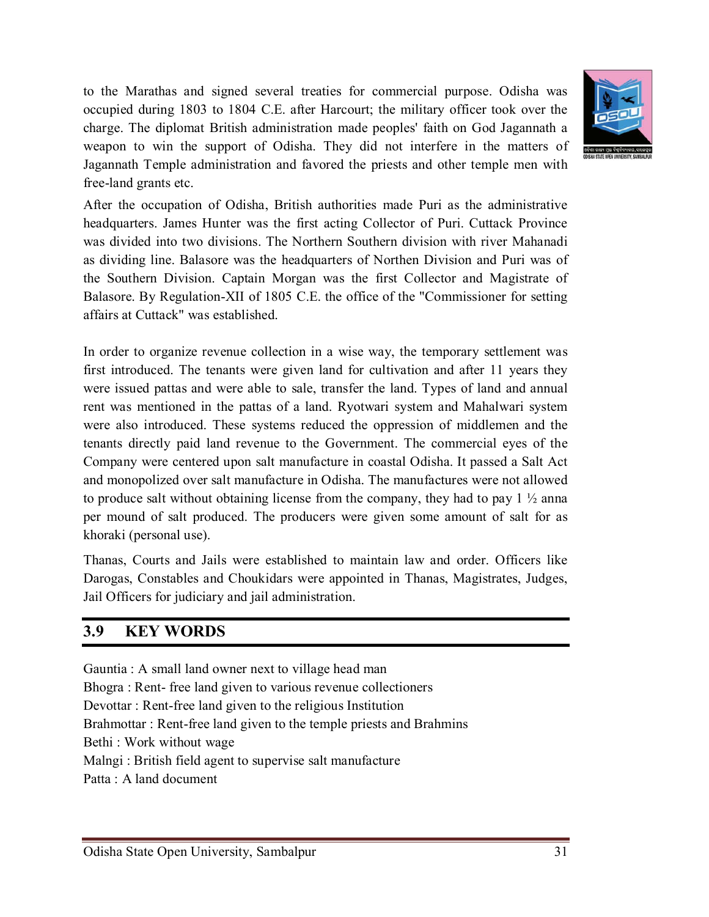to the Marathas and signed several treaties for commercial purpose. Odisha was occupied during 1803 to 1804 C.E. after Harcourt; the military officer took over the charge. The diplomat British administration made peoples' faith on God Jagannath a weapon to win the support of Odisha. They did not interfere in the matters of Jagannath Temple administration and favored the priests and other temple men with free-land grants etc.



After the occupation of Odisha, British authorities made Puri as the administrative headquarters. James Hunter was the first acting Collector of Puri. Cuttack Province was divided into two divisions. The Northern Southern division with river Mahanadi as dividing line. Balasore was the headquarters of Northen Division and Puri was of the Southern Division. Captain Morgan was the first Collector and Magistrate of Balasore. By Regulation-XII of 1805 C.E. the office of the "Commissioner for setting affairs at Cuttack" was established.

In order to organize revenue collection in a wise way, the temporary settlement was first introduced. The tenants were given land for cultivation and after 11 years they were issued pattas and were able to sale, transfer the land. Types of land and annual rent was mentioned in the pattas of a land. Ryotwari system and Mahalwari system were also introduced. These systems reduced the oppression of middlemen and the tenants directly paid land revenue to the Government. The commercial eyes of the Company were centered upon salt manufacture in coastal Odisha. It passed a Salt Act and monopolized over salt manufacture in Odisha. The manufactures were not allowed to produce salt without obtaining license from the company, they had to pay  $1 \frac{1}{2}$  anna per mound of salt produced. The producers were given some amount of salt for as khoraki (personal use).

Thanas, Courts and Jails were established to maintain law and order. Officers like Darogas, Constables and Choukidars were appointed in Thanas, Magistrates, Judges, Jail Officers for judiciary and jail administration.

## **3.9 KEY WORDS**

Gauntia : A small land owner next to village head man Bhogra : Rent- free land given to various revenue collectioners Devottar : Rent-free land given to the religious Institution Brahmottar : Rent-free land given to the temple priests and Brahmins Bethi : Work without wage Malngi : British field agent to supervise salt manufacture Patta : A land document